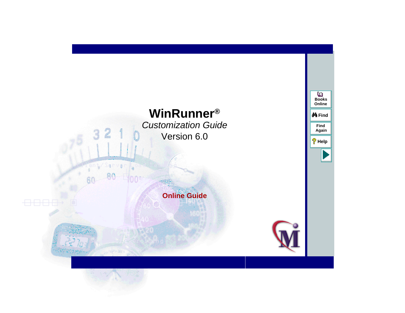# **WinRunner®** Customization Guide Version 6.0

 $321$ 

nva

 $0.30^{+1}$ 

Ω

# **Online Guide**



**Find**

**M**Find

**Again**

**Help**

**Books Online**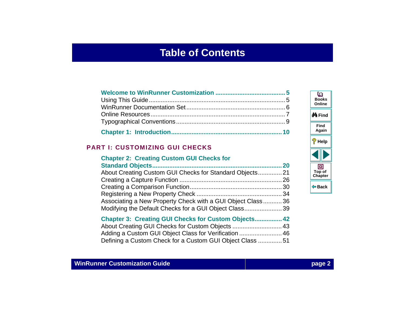# **Table of Contents**

<span id="page-1-0"></span>

## **[PART I: CUSTOMIZING GUI CHECKS](#page-18-0)**

### **Chapter 2: Creating Custom GUI Checks for [Standard Objects............................................................................](#page-19-0) 20** [About Creating Custom GUI Checks for Standard Objects..............21](#page-20-0) [Creating a Capture Function](#page-25-0) ............................................................ 26 [Creating a Comparison Function......................................................](#page-29-0) 30 [Registering a New Property Check](#page-33-0) .................................................. 34 [Associating a New Property Check with a GUI Object Class...........](#page-35-0) 36 [Modifying the Default Checks for a GUI Object Class......................](#page-38-0) 39

| <b>Chapter 3: Creating GUI Checks for Custom Objects 42</b> |  |
|-------------------------------------------------------------|--|
|                                                             |  |
| Adding a Custom GUI Object Class for Verification  46       |  |
| Defining a Custom Check for a Custom GUI Object Class 51    |  |

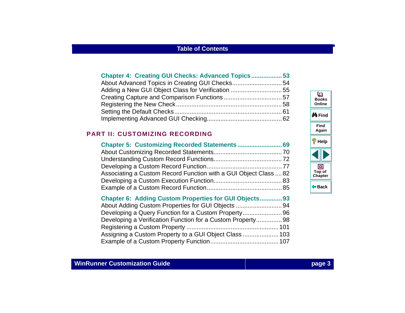| <b>Chapter 4: Creating GUI Checks: Advanced Topics53</b> |  |
|----------------------------------------------------------|--|
| About Advanced Topics in Creating GUI Checks54           |  |
|                                                          |  |
|                                                          |  |
|                                                          |  |
|                                                          |  |
|                                                          |  |

## **[PART II: CUSTOMIZING RECORDING](#page-67-0)**

| Associating a Custom Record Function with a GUI Object Class  82 |  |
|------------------------------------------------------------------|--|
|                                                                  |  |
|                                                                  |  |

| <b>Chapter 6: Adding Custom Properties for GUI Objects 93</b> |  |
|---------------------------------------------------------------|--|
|                                                               |  |
| Developing a Query Function for a Custom Property96           |  |
| Developing a Verification Function for a Custom Property 98   |  |
|                                                               |  |
|                                                               |  |
|                                                               |  |
|                                                               |  |

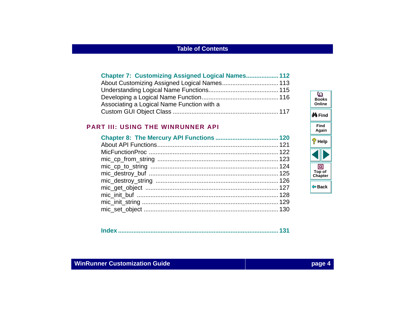| <b>Chapter 7: Customizing Assigned Logical Names 112</b> |
|----------------------------------------------------------|
|                                                          |
|                                                          |
|                                                          |
|                                                          |
|                                                          |
|                                                          |

#### **[PART III: USING THE WINRUNNER API](#page-118-0)**

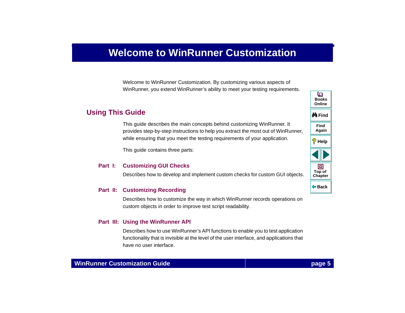# <span id="page-4-2"></span>**Welcome to WinRunner Customization**

Welcome to WinRunner Customization. By customizing various aspects of WinRunner, you extend WinRunner's ability to meet your testing requirements.

# <span id="page-4-1"></span><span id="page-4-0"></span>**Using This Guide**

This guide describes the main concepts behind customizing WinRunner. It provides step-by-step instructions to help you extract the most out of WinRunner, while ensuring that you meet the testing requirements of your application.

This guide contains three parts:

#### **Part I: Customizing GUI Checks**

Describes how to develop and implement custom checks for custom GUI objects.

#### **Part II: Customizing Recording**

Describes how to customize the way in which WinRunner records operations on custom objects in order to improve test script readability.

#### **Part III: Using the WinRunner API**

Describes how to use WinRunner's API functions to enable you to test application functionality that is invisible at the level of the user interface, and applications that have no user interface.

**Back**

**[Chapter](#page-4-2) Top of**

同

**Find**

**Again**

**Help**

**do Find** 

**BooksOnline**

o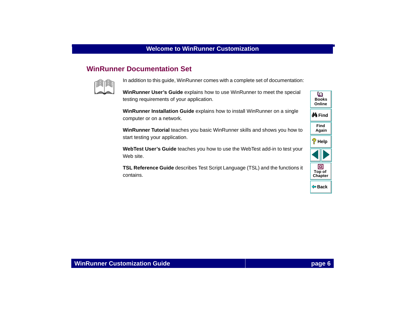# <span id="page-5-0"></span>**WinRunner Documentation Set**



In addition to this guide, WinRunner comes with a complete set of documentation:

**WinRunner User's Guide** explains how to use WinRunner to meet the special testing requirements of your application.

**WinRunner Installation Guide** explains how to install WinRunner on a single computer or on a network.

**WinRunner Tutorial** teaches you basic WinRunner skills and shows you how to start testing your application.

**WebTest User's Guide** teaches you how to use the WebTest add-in to test your Web site.

**TSL Reference Guide** describes Test Script Language (TSL) and the functions it contains.

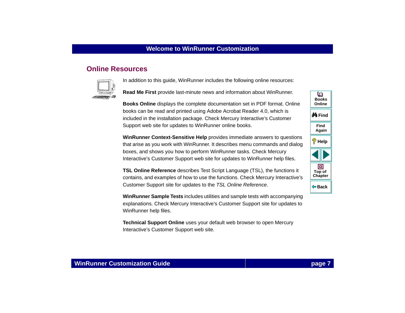### <span id="page-6-0"></span>**Online Resources**



In addition to this guide, WinRunner includes the following online resources:

**Read Me First** provide last-minute news and information about WinRunner.

**Books Online** displays the complete documentation set in PDF format. Online books can be read and printed using Adobe Acrobat Reader 4.0, which is included in the installation package. Check Mercury Interactive's Customer Support web site for updates to WinRunner online books.

**WinRunner Context-Sensitive Help** provides immediate answers to questions that arise as you work with WinRunner. It describes menu commands and dialog boxes, and shows you how to perform WinRunner tasks. Check Mercury Interactive's Customer Support web site for updates to WinRunner help files.

**TSL Online Reference** describes Test Script Language (TSL), the functions it contains, and examples of how to use the functions. Check Mercury Interactive's Customer Support site for updates to the TSL Online Reference.

**WinRunner Sample Tests** includes utilities and sample tests with accompanying explanations. Check Mercury Interactive's Customer Support site for updates to WinRunner help files.

**Technical Support Online** uses your default web browser to open Mercury Interactive's Customer Support web site.

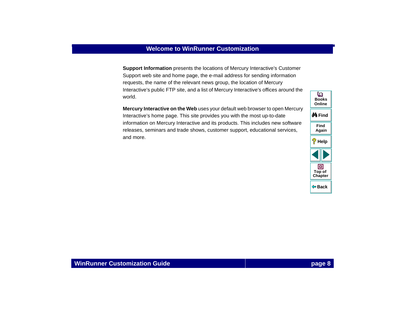**Support Information** presents the locations of Mercury Interactive's Customer Support web site and home page, the e-mail address for sending information requests, the name of the relevant news group, the location of Mercury Interactive's public FTP site, and a list of Mercury Interactive's offices around the world.

**Mercury Interactive on the Web** uses your default web browser to open Mercury Interactive's home page. This site provides you with the most up-to-date information on Mercury Interactive and its products. This includes new software releases, seminars and trade shows, customer support, educational services, and more.

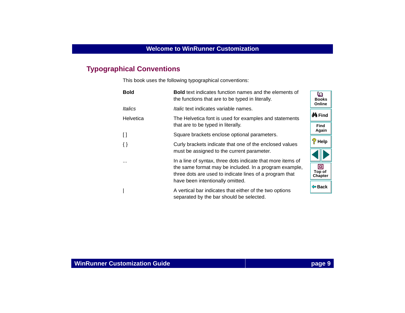# <span id="page-8-0"></span>**Typographical Conventions**

This book uses the following typographical conventions:

| <b>Bold</b>                            | <b>Bold</b> text indicates function names and the elements of<br>the functions that are to be typed in literally. | ഥ<br><b>Books</b><br>Online |  |  |  |
|----------------------------------------|-------------------------------------------------------------------------------------------------------------------|-----------------------------|--|--|--|
| Italics                                | <i>Italic</i> text indicates variable names.                                                                      |                             |  |  |  |
| Helvetica                              | The Helvetica font is used for examples and statements                                                            | <b>∯</b> n Find             |  |  |  |
|                                        | that are to be typed in literally.                                                                                | Find                        |  |  |  |
| $\begin{array}{c} \square \end{array}$ | Square brackets enclose optional parameters.                                                                      | Again                       |  |  |  |
| $\{\}$                                 | Curly brackets indicate that one of the enclosed values                                                           | ø.<br>Help                  |  |  |  |
|                                        | must be assigned to the current parameter.                                                                        |                             |  |  |  |
| $\cdots$                               | In a line of syntax, three dots indicate that more items of                                                       |                             |  |  |  |
|                                        | the same format may be included. In a program example,                                                            | о<br>Top of                 |  |  |  |
|                                        | three dots are used to indicate lines of a program that                                                           | Chapter                     |  |  |  |
|                                        | have been intentionally omitted.                                                                                  |                             |  |  |  |
|                                        | A vertical bar indicates that either of the two options                                                           |                             |  |  |  |
|                                        | separated by the bar should be selected.                                                                          |                             |  |  |  |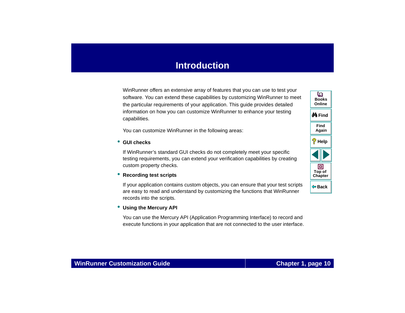<span id="page-9-1"></span><span id="page-9-0"></span>WinRunner offers an extensive array of features that you can use to test your software. You can extend these capabilities by customizing WinRunner to meet the particular requirements of your application. This guide provides detailed information on how you can customize WinRunner to enhance your testing capabilities.

You can customize WinRunner in the following areas:

#### • **GUI checks**

If WinRunner's standard GUI checks do not completely meet your specific testing requirements, you can extend your verification capabilities by creating custom property checks.

#### • **Recording test scripts**

If your application contains custom objects, you can ensure that your test scripts are easy to read and understand by customizing the functions that WinRunner records into the scripts.

#### • **Using the Mercury API**

You can use the Mercury API (Application Programming Interface) to record and execute functions in your application that are not connected to the user interface.

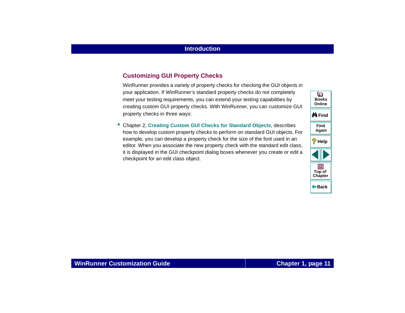#### **Customizing GUI Property Checks**

WinRunner provides a variety of property checks for checking the GUI objects in your application. If WinRunner's standard property checks do not completely meet your testing requirements, you can extend your testing capabilities by creating custom GUI property checks. With WinRunner, you can customize GUI property checks in three ways:

• Chapter 2, **[Creating Custom GUI Checks for Standard Objects](#page-19-1)**, describes how to develop custom property checks to perform on standard GUI objects. For example, you can develop a property check for the size of the font used in an editor. When you associate the new property check with the standard edit class, it is displayed in the GUI checkpoint dialog boxes whenever you create or edit a checkpoint for an edit class object.

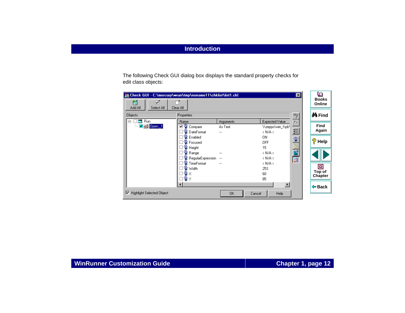The following Check GUI dialog box displays the standard property checks for edit class objects:

| Check GUI - C:\mercury\wrun\tmp\noname11\chklist\list1.ckl<br>箇<br>⊽⊺ |                                             |                                 |                                                              | ⊠            | o<br><b>Books</b><br>Online   |
|-----------------------------------------------------------------------|---------------------------------------------|---------------------------------|--------------------------------------------------------------|--------------|-------------------------------|
| Add All<br>Select All<br><b>Objects</b>                               | Clear All<br>Properties                     |                                 |                                                              | 5            | ∯n Find                       |
| <b>Em</b> Run<br>$\Box$ .<br>Jabil Open 1<br>:                        | Name<br>◉<br>⊽<br>Compare<br>DateFormat     | <b>Arguments</b><br>As Text<br> | Expected Value<br>\\zeppo\win_t\pb\<br>$\langle N/A \rangle$ | ð<br>给       | Find<br>Again                 |
|                                                                       | 일 Enabled<br><sup>©</sup> Focused<br>Height |                                 | ΟN<br><b>OFF</b><br>15                                       |              | ę<br>Help                     |
|                                                                       | Range<br>RegularExpression                  | <br>$\cdots$                    | $\langle N/A \rangle$<br>$\langle N/A \rangle$               | <b>SERVE</b> |                               |
|                                                                       | TimeFormat<br><b>♀</b> Width<br>ୟ×<br>ুγ    | ---                             | $\langle N/A \rangle$<br>253<br>60<br>85                     |              | Ξ<br>Top of<br><b>Chapter</b> |
| <b>Highlight Selected Object</b><br> ⊽                                | ◂                                           | 0K<br>Cancel                    | $\ddot{\phantom{1}}$<br><b>Help</b>                          |              | <b>← Back</b>                 |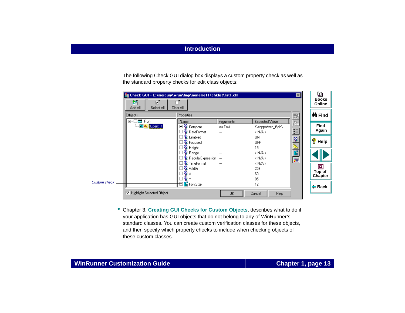The following Check GUI dialog box displays a custom property check as well as the standard property checks for edit class objects:

| Check GUI - C:\mercury\wrun\tmp\noname11\chklist\list1.ckl<br>l×l |                                        |                     |           |                       |         | o                      |
|-------------------------------------------------------------------|----------------------------------------|---------------------|-----------|-----------------------|---------|------------------------|
|                                                                   | 窇<br>☑<br>Add All<br>Select All        | Clear All           |           |                       |         | <b>Books</b><br>Online |
|                                                                   | <b>Objects</b><br>Properties<br>"      |                     |           |                       |         |                        |
|                                                                   | <b>Exp</b> Run<br>$\Box$               | Name                | Arguments | Expected Value        |         |                        |
|                                                                   | <u>Dobi</u> Dpen: 1                    | ⊡o<br>Compare       | As Text   | \\zeppo\win_t\pb\     |         | Find                   |
|                                                                   |                                        | ၖ<br>DateFormat     |           | $\langle N/A \rangle$ | 给       | Again                  |
|                                                                   |                                        | G<br>Enabled        |           | 0N                    | ್ಲಿ     |                        |
|                                                                   |                                        | <b>R</b> Focused    |           | <b>OFF</b>            |         | P<br>Help              |
|                                                                   |                                        | <b>A</b> Height     |           | 15                    |         |                        |
|                                                                   |                                        | Range               |           | $\langle N/A \rangle$ |         |                        |
|                                                                   |                                        | RegularExpression   | $\cdots$  | $\langle N/A \rangle$ | in E.R. |                        |
|                                                                   |                                        | TimeFormat          |           | $\langle N/A \rangle$ |         |                        |
|                                                                   |                                        | <sup>ୁର</sup> Width |           | 253                   |         | 回                      |
|                                                                   |                                        |                     |           | 60                    |         | Top of                 |
|                                                                   |                                        |                     |           | 85                    |         | Chapter                |
| <b>Custom check</b>                                               |                                        | FontSize            |           | 12                    |         | ⊕ Back                 |
|                                                                   | <b>Highlight Selected Object</b><br>1⊽ |                     | 0K        | Help<br>Cancel        |         |                        |

• Chapter 3, **[Creating GUI Checks for Custom Objects](#page-41-1)**, describes what to do if your application has GUI objects that do not belong to any of WinRunner's standard classes. You can create custom verification classes for these objects, and then specify which property checks to include when checking objects of these custom classes.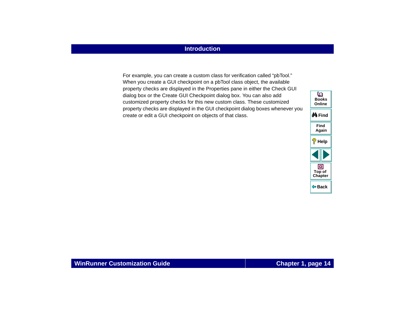For example, you can create a custom class for verification called "pbTool." When you create a GUI checkpoint on a pbTool class object, the available property checks are displayed in the Properties pane in either the Check GUI dialog box or the Create GUI Checkpoint dialog box. You can also add customized property checks for this new custom class. These customized property checks are displayed in the GUI checkpoint dialog boxes whenever you create or edit a GUI checkpoint on objects of that class.

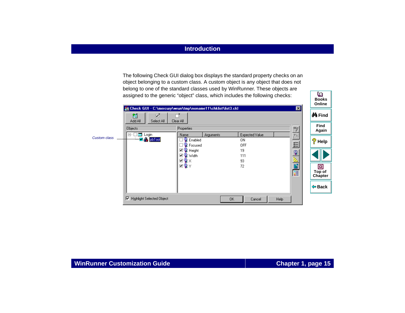The following Check GUI dialog box displays the standard property checks on an object belonging to a custom class. A custom object is any object that does not belong to one of the standard classes used by WinRunner. These objects are assigned to the generic "object" class, which includes the following checks:

|                     |                                                      | Eil Check GUI - C:\mercury\wrun\tmp\noname11\chklist\list3.ckl<br>⊠                                          | Online                 |
|---------------------|------------------------------------------------------|--------------------------------------------------------------------------------------------------------------|------------------------|
|                     | 箇<br>☑<br>Add All<br>Select All                      | Clear All                                                                                                    | <b>∯</b> n Find        |
|                     | Objects                                              | 3<br>Properties                                                                                              | Find<br>Again          |
| <b>Custom class</b> | <b>s</b> Login<br>$\Box$<br>$-\blacksquare$ a pblool | <b>Expected Value</b><br>為<br>Name<br><b>Arguments</b><br>۰<br>Enabled<br>0N<br>쒼<br>图 Focused<br><b>OFF</b> | ೪<br>Help              |
|                     |                                                      | ⊡ <mark>©</mark> Height<br>19<br>ୁ<br>☑ ೪ Width<br>111<br>と<br>間<br>☑Չx<br>93                                |                        |
|                     |                                                      | ⊡ਊY<br>72<br>眉                                                                                               | 回<br>Top of<br>Chapter |
|                     |                                                      |                                                                                                              | $\Leftrightarrow$ Back |
|                     | ⊽<br><b>Highlight Selected Object</b>                | Help<br>OK.<br>Cancel                                                                                        |                        |

**Books**

ഥ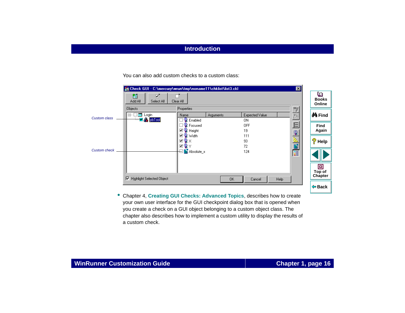You can also add custom checks to a custom class:

|                     |                                                                      | Check GUI - C:\mercury\wrun\tmp\noname11\chklist\list3.ckl | $\vert x \vert$        |                             |
|---------------------|----------------------------------------------------------------------|------------------------------------------------------------|------------------------|-----------------------------|
|                     | ⊽⊺<br>箇<br>Add All<br>Select All                                     | Clear All                                                  |                        | u<br><b>Books</b><br>Online |
|                     | <b>Objects</b>                                                       | Properties                                                 | 3                      |                             |
| <b>Custom class</b> | <b>s</b> Login<br>⊟…<br>$\nabla$ $\clubsuit$ pb $\text{I}\text{ool}$ | Name<br><b>Arguments</b>                                   | Expected Value<br>為    | <b>∯</b> a Find             |
|                     |                                                                      | <b>【</b> Enabled<br>图 Focused                              | 0N.<br>쐰<br><b>OFF</b> |                             |
|                     |                                                                      | ⊡ୁ<br>Height                                               | 19                     | Find<br>Again               |
|                     |                                                                      | <b>⊡ ©</b> Width                                           | ବୃ<br>111              |                             |
|                     |                                                                      | ⊡ු⊗x                                                       | 93                     | $\mathscr{P}$ Help          |
|                     |                                                                      | ☑®γ                                                        | 72                     |                             |
| <b>Custom check</b> |                                                                      | Absolute_x                                                 | 医上层<br>124             |                             |
|                     | <b>Highlight Selected Object</b><br>罓                                | OK.                                                        | Help<br>Cancel         | o<br>Top of<br>Chapter      |
|                     |                                                                      |                                                            |                        |                             |
|                     |                                                                      |                                                            |                        | ⊕ Back                      |

• Chapter 4, **[Creating GUI Checks: Advanced Topics](#page-52-1)**, describes how to create your own user interface for the GUI checkpoint dialog box that is opened when you create a check on a GUI object belonging to a custom object class. The chapter also describes how to implement a custom utility to display the results of a custom check.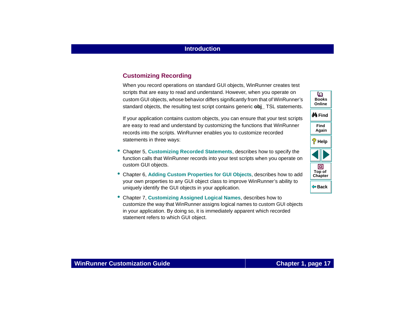#### **Customizing Recording**

When you record operations on standard GUI objects, WinRunner creates test scripts that are easy to read and understand. However, when you operate on custom GUI objects, whose behavior differs significantly from that of WinRunner's standard objects, the resulting test script contains generic **obj\_** TSL statements.

If your application contains custom objects, you can ensure that your test scripts are easy to read and understand by customizing the functions that WinRunner records into the scripts. WinRunner enables you to customize recorded statements in three ways:

- Chapter 5, **[Customizing Recorded Statements](#page-68-1)**, describes how to specify the function calls that WinRunner records into your test scripts when you operate on custom GUI objects.
- Chapter 6, **[Adding Custom Properties for GUI Objects](#page-92-1)**, describes how to add your own properties to any GUI object class to improve WinRunner's ability to uniquely identify the GUI objects in your application.
- Chapter 7, **[Customizing Assigned Logical Names](#page-111-1)**, describes how to customize the way that WinRunner assigns logical names to custom GUI objects in your application. By doing so, it is immediately apparent which recorded statement refers to which GUI object.

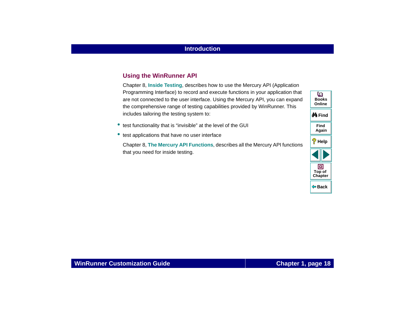#### **Using the WinRunner API**

Chapter 8, **Inside Testing**, describes how to use the Mercury API (Application Programming Interface) to record and execute functions in your application that are not connected to the user interface. Using the Mercury API, you can expand the comprehensive range of testing capabilities provided by WinRunner. This includes tailoring the testing system to:

- test functionality that is "invisible" at the level of the GUI
- •test applications that have no user interface

Chapter 8, **[The Mercury API Functions](#page-119-1)**, describes all the Mercury API functions that you need for inside testing.

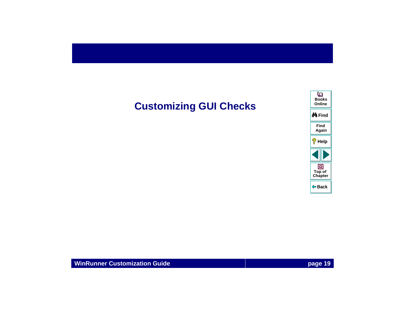# <span id="page-18-0"></span>**Customizing GUI Checks**

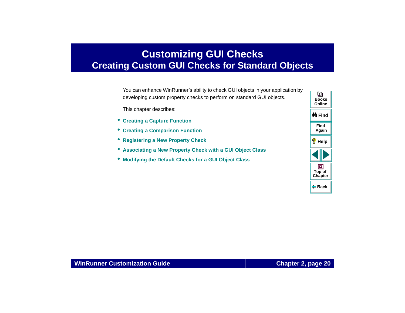# <span id="page-19-2"></span><span id="page-19-1"></span><span id="page-19-0"></span>**Customizing GUI Checks Creating Custom GUI Checks for Standard Objects**

You can enhance WinRunner's ability to check GUI objects in your application by developing custom property checks to perform on standard GUI objects.

This chapter describes:

- **[Creating a Capture Function](#page-25-0)**
- **[Creating a Comparison Function](#page-29-0)**
- **[Registering a New Property Check](#page-33-0)**
- **[Associating a New Property Check with a GUI Object Class](#page-35-0)**
- •**[Modifying the Default Checks for a GUI Object Class](#page-38-0)**

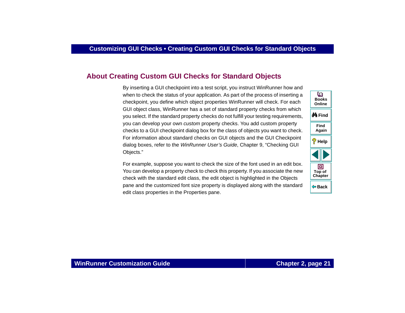## <span id="page-20-0"></span>**About Creating Custom GUI Checks for Standard Objects**

By inserting a GUI checkpoint into a test script, you instruct WinRunner how and when to check the status of your application. As part of the process of inserting a checkpoint, you define which object properties WinRunner will check. For each GUI object class, WinRunner has a set of standard property checks from which you select. If the standard property checks do not fulfill your testing requirements, you can develop your own custom property checks. You add custom property checks to a GUI checkpoint dialog box for the class of objects you want to check. For information about standard checks on GUI objects and the GUI Checkpoint dialog boxes, refer to the WinRunner User's Guide, Chapter 9, "Checking GUI Objects."

For example, suppose you want to check the size of the font used in an edit box. You can develop a property check to check this property. If you associate the new check with the standard edit class, the edit object is highlighted in the Objects pane and the customized font size property is displayed along with the standard edit class properties in the Properties pane.

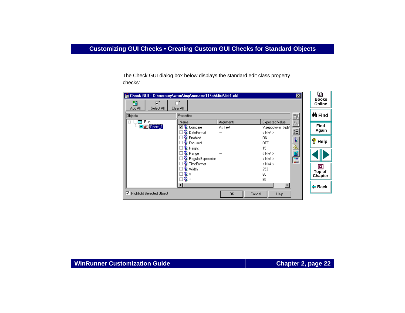The Check GUI dialog box below displays the standard edit class property checks:

| Check GUI - C:\mercury\wrun\tmp\noname11\chklist\list1.ckl<br>×l |                          |                  |                       |                 |             |
|------------------------------------------------------------------|--------------------------|------------------|-----------------------|-----------------|-------------|
| 箇<br>षा<br>Add All<br>Select All<br>Clear All                    |                          |                  |                       |                 |             |
| <b>Objects</b><br>Properties<br>3                                |                          |                  |                       |                 |             |
| <b>Man</b> Run<br>Fŀ                                             | Name                     | <b>Arguments</b> | Expected Value        | $\frac{m}{(n)}$ |             |
| Jabi Dpen: 1                                                     | Compare<br>⊽             | As Text          | \\zeppo\win_t\pb\     |                 | <b>Find</b> |
|                                                                  | <b>DateFormat</b>        |                  | $\langle N/A \rangle$ | 笞               | Again       |
|                                                                  | • Enabled                |                  | ΟN                    |                 |             |
|                                                                  | <b>R</b> Focused         |                  | <b>OFF</b>            | $\mathbf{Q}$    | ?<br>Help   |
|                                                                  | <b>R</b> Height          |                  | 15                    |                 |             |
|                                                                  | Range                    |                  | $\langle N/A \rangle$ |                 |             |
|                                                                  | <b>RegularExpression</b> |                  | $\langle N/A \rangle$ | 医医学             |             |
|                                                                  | TimeFormat               |                  | $\langle N/A \rangle$ |                 |             |
|                                                                  | <b>Q</b> Width           |                  | 253                   |                 | ▣           |
|                                                                  | ×                        |                  | 60                    |                 | Top of      |
|                                                                  | ◉                        |                  | 85                    |                 | Chapter     |
|                                                                  |                          |                  | $\blacktriangleright$ |                 |             |
|                                                                  |                          |                  |                       |                 | ⊕ Back      |
| <b>Highlight Selected Object</b><br>1⊽                           |                          | 0K<br>Cancel     | Help                  |                 |             |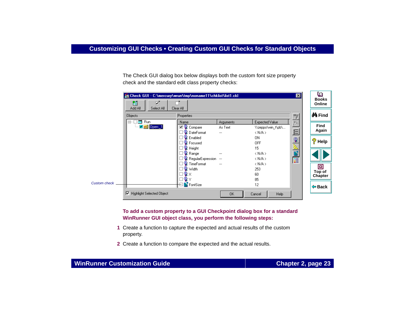The Check GUI dialog box below displays both the custom font size property check and the standard edit class property checks:

|                     | Eil Check GUI - C:\mercury\wrun\tmp\noname11\chklist\list1.ckl |                   |                          |                       | 図            | o<br><b>Books</b>  |  |
|---------------------|----------------------------------------------------------------|-------------------|--------------------------|-----------------------|--------------|--------------------|--|
|                     | 箇<br>⊽⊺<br>Add All<br>Select All                               | Clear All         |                          |                       |              | Online             |  |
|                     | <b>Objects</b><br>Properties<br>3                              |                   |                          |                       |              |                    |  |
|                     | <b>Expert</b><br><b>Run</b><br>E-                              | Name              | <b>Arguments</b>         | Expected Value        | 灎            | Find               |  |
|                     | Open:_1                                                        | ⊡ବୃ<br>Compare    | As Text                  | \\zeppo\win_t\pb\     |              | Again              |  |
|                     |                                                                | DateFormat        | ---                      | $\langle N/A \rangle$ | ے            |                    |  |
|                     |                                                                | Enabled           |                          | 0N                    | $\mathbf{Q}$ | $\mathscr{P}$ Help |  |
|                     |                                                                | Focused           |                          | <b>OFF</b>            |              |                    |  |
|                     |                                                                | Height            |                          | 15                    | 医白色          |                    |  |
|                     |                                                                | Range             | ---                      | $\langle N/A \rangle$ |              |                    |  |
|                     |                                                                | RegularExpression | $\overline{\phantom{a}}$ | $\langle N/A \rangle$ |              |                    |  |
|                     |                                                                | TimeFormat        | $\cdots$                 | $\langle N/A \rangle$ |              |                    |  |
|                     |                                                                | Width             |                          | 253                   |              | 回                  |  |
|                     |                                                                |                   |                          | 60                    |              | Top of<br>Chapter  |  |
|                     |                                                                |                   |                          | 85                    |              |                    |  |
| <b>Custom check</b> |                                                                | FontSize          |                          | 12                    |              | <b>← Back</b>      |  |
|                     | <b>Highlight Selected Object</b><br>1⊽                         |                   | 0K                       | Help<br>Cancel        |              |                    |  |

**To add a custom property to a GUI Checkpoint dialog box for a standard WinRunner GUI object class, you perform the following steps:**

- **1** Create a function to capture the expected and actual results of the custom property.
- **2** Create a function to compare the expected and the actual results.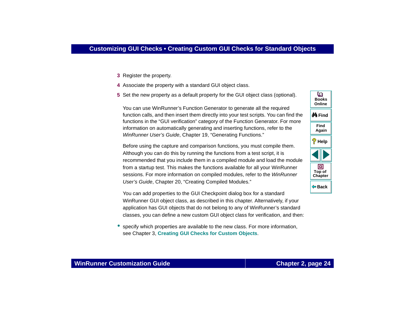- **3** Register the property.
- **4** Associate the property with a standard GUI object class.
- **5** Set the new property as a default property for the GUI object class (optional).

You can use WinRunner's Function Generator to generate all the required function calls, and then insert them directly into your test scripts. You can find the functions in the "GUI verification" category of the Function Generator. For more information on automatically generating and inserting functions, refer to the WinRunner User's Guide, Chapter 19, "Generating Functions."

Before using the capture and comparison functions, you must compile them. Although you can do this by running the functions from a test script, it is recommended that you include them in a compiled module and load the module from a startup test. This makes the functions available for all your WinRunner sessions. For more information on compiled modules, refer to the WinRunner User's Guide, Chapter 20, "Creating Compiled Modules."

You can add properties to the GUI Checkpoint dialog box for a standard WinRunner GUI object class, as described in this chapter. Alternatively, if your application has GUI objects that do not belong to any of WinRunner's standard classes, you can define a new custom GUI object class for verification, and then:

• specify which properties are available to the new class. For more information, see Chapter 3, **[Creating GUI Checks for Custom Objects](#page-41-1)**.

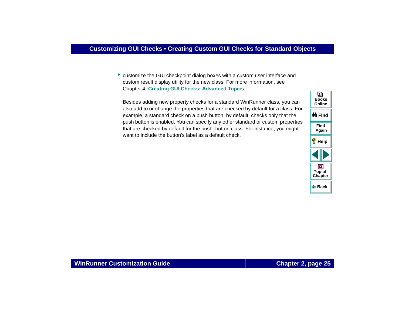• customize the GUI checkpoint dialog boxes with a custom user interface and custom result display utility for the new class. For more information, see Chapter 4, **[Creating GUI Checks: Advanced Topics](#page-52-1)**.

Besides adding new property checks for a standard WinRunner class, you can also add to or change the properties that are checked by default for a class. For example, a standard check on a push button, by default, checks only that the push button is enabled. You can specify any other standard or custom properties that are checked by default for the push\_button class. For instance, you might want to include the button's label as a default check.

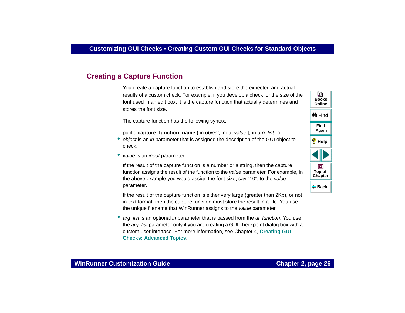## <span id="page-25-0"></span>**Creating a Capture Function**

You create a capture function to establish and store the expected and actual results of a custom check. For example, if you develop a check for the size of the font used in an edit box, it is the capture function that actually determines and stores the font size.

The capture function has the following syntax:

- public **capture** function name ( in object, inout value [, in arg list ] ) • object is an in parameter that is assigned the description of the GUI object to check.
- *value* is an *inout* parameter:

If the result of the capture function is a number or a string, then the capture function assigns the result of the function to the value parameter. For example, in the above example you would assign the font size, say "10", to the value parameter.

If the result of the capture function is either very large (greater than 2Kb), or not in text format, then the capture function must store the result in a file. You use the unique filename that WinRunner assigns to the value parameter.

• arg\_list is an optional in parameter that is passed from the ui\_function. You use the arg list parameter only if you are creating a GUI checkpoint dialog box with a custom user interface. For more information, see Chapter 4, **[Creating GUI](#page-52-1)  [Checks: Advanced Topics](#page-52-1)**.

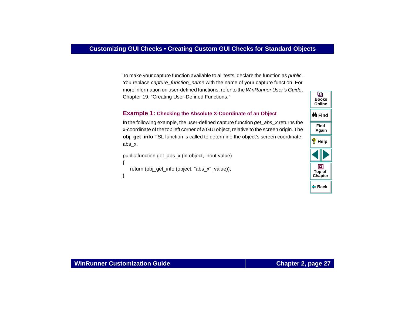To make your capture function available to all tests, declare the function as *public*. You replace capture function name with the name of your capture function. For more information on user-defined functions, refer to the WinRunner User's Guide, Chapter 19, "Creating User-Defined Functions."

#### **Example 1: Checking the Absolute X-Coordinate of an Object**

In the following example, the user-defined capture function get  $abs$  x returns the x-coordinate of the top left corner of a GUI object, relative to the screen origin. The **obj\_get\_info** TSL function is called to determine the object's screen coordinate, abs\_x.

```
public function get_abs_x (in object, inout value)
{
   return (obj_get_info (object, "abs_x", value));
}
```
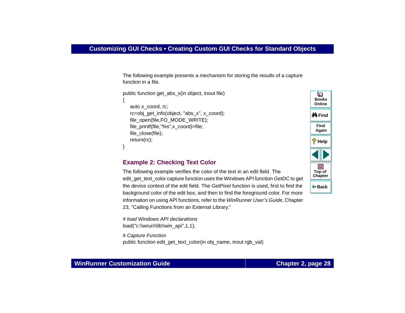The following example presents a mechanism for storing the results of a capture function in a file.

```
public function get_abs_x(in object, inout file)
{
   auto x_coord, rc;
   rc=obj_get_info(object, "abs_x", x_coord);
   file_open(file,FO_MODE_WRITE);
   file_printf(file,"%s",x_coord)>file;
   file_close(file);
   return(rc);
}
```
#### **Example 2: Checking Text Color**

The following example verifies the color of the text in an edit field. The edit\_get\_text\_color capture function uses the Windows API function GetDC to get the device context of the edit field. The GetPixel function is used, first to find the background color of the edit box, and then to find the foreground color. For more information on using API functions, refer to the WinRunner User's Guide, Chapter 23, "Calling Functions from an External Library."

# load Windows API declarationsload("c:\\wrun\\lib\\win\_api",1,1);

# Capture Function public function edit\_get\_text\_color(in obj\_name, inout rgb\_val)



#### **WinRunner Customization Guide**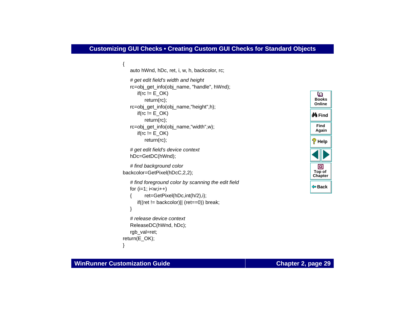```
auto hWnd, hDc, ret, i, w, h, backcolor, rc;
   # get edit field's width and height
   rc=obj_get_info(obj_name, "handle", hWnd);
      if(rc != E_OK)return(rc);
   rc=obj_get_info(obj_name,"height",h);
      if(rc != E_OK)return(rc);
   rc=obj_get_info(obj_name,"width",w);
      if(rc != E_OK)return(rc);
   # get edit field's device context
   hDc=GetDC(hWnd);
   # find background color
backcolor=GetPixel(hDcC,2,2); 
   # find foreground color by scanning the edit field
   for (i=1; i < w; i++)ret=GetPixel(hDc,int(h/2),i);
      if((ret != backcolor)|| (ret==0)) break;
   }
```

```
# release device context 
   ReleaseDC(hWnd, hDc); 
   rgb_val=ret;
return(E_OK);
```


}

{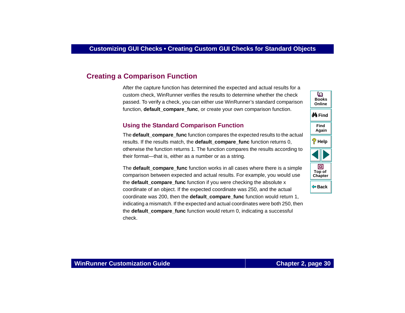## <span id="page-29-0"></span>**Creating a Comparison Function**

After the capture function has determined the expected and actual results for a custom check, WinRunner verifies the results to determine whether the check passed. To verify a check, you can either use WinRunner's standard comparison function, **default\_compare\_func**, or create your own comparison function.

#### **Using the Standard Comparison Function**

The **default** compare func function compares the expected results to the actual results. If the results match, the **default\_compare\_func** function returns 0, otherwise the function returns 1. The function compares the results according to their format—that is, either as a number or as a string.

The **default compare func** function works in all cases where there is a simple comparison between expected and actual results. For example, you would use the **default compare func** function if you were checking the absolute x coordinate of an object. If the expected coordinate was 250, and the actual coordinate was 200, then the **default\_compare\_func** function would return 1, indicating a mismatch. If the expected and actual coordinates were both 250, then the **default compare func** function would return 0, indicating a successful check.

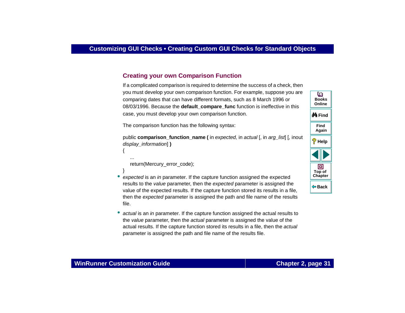### **Creating your own Comparison Function**

If a complicated comparison is required to determine the success of a check, then you must develop your own comparison function. For example, suppose you are comparing dates that can have different formats, such as 8 March 1996 or 08/03/1996. Because the **default compare func** function is ineffective in this case, you must develop your own comparison function.

The comparison function has the following syntax:

```
public comparison function name (in expected, in actual [, in arg list] [, inout
display_information] )
{
   ...return(Mercury_error_code);
```
- expected is an in parameter. If the capture function assigned the expected results to the value parameter, then the expected parameter is assigned the value of the expected results. If the capture function stored its results in a file, then the expected parameter is assigned the path and file name of the results file.
- •actual is an in parameter. If the capture function assigned the actual results to the value parameter, then the actual parameter is assigned the value of the actual results. If the capture function stored its results in a file, then the actual parameter is assigned the path and file name of the results file.



}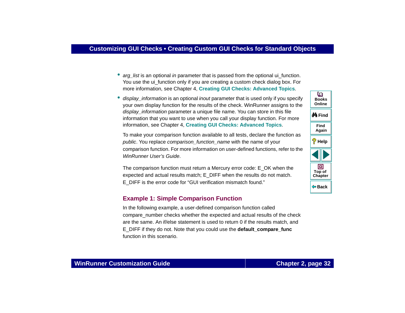- arg\_list is an optional in parameter that is passed from the optional ui\_function. You use the ui\_function only if you are creating a custom check dialog box. For more information, see Chapter 4, **[Creating GUI Checks: Advanced Topics](#page-52-1)**.
- display\_information is an optional inout parameter that is used only if you specify your own display function for the results of the check. WinRunner assigns to the display information parameter a unique file name. You can store in this file information that you want to use when you call your display function. For more information, see Chapter 4, **[Creating GUI Checks: Advanced Topics](#page-52-1)**.

To make your comparison function available to all tests, declare the function as public. You replace comparison function name with the name of your comparison function. For more information on user-defined functions, refer to the WinRunner User's Guide.

The comparison function must return a Mercury error code: E\_OK when the expected and actual results match; E\_DIFF when the results do not match. E\_DIFF is the error code for "GUI verification mismatch found."

#### **Example 1: Simple Comparison Function**

In the following example, a user-defined comparison function called compare number checks whether the expected and actual results of the check are the same. An if/else statement is used to return 0 if the results match, and E\_DIFF if they do not. Note that you could use the **default\_compare\_func** function in this scenario.



#### **WinRunner Customization Guide**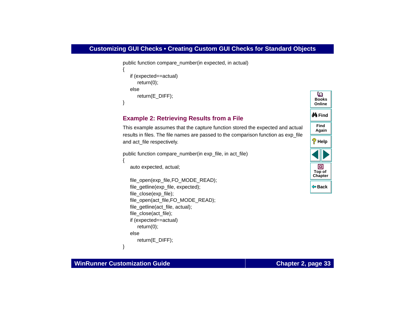#### **Customizing GUI Checks • Creating Custom GUI Checks for Standard Objects**

```
public function compare number(in expected, in actual)
{
   if (expected==actual)
      return(0);
   elsereturn(E_DIFF);
}
```
#### **Example 2: Retrieving Results from a File**

This example assumes that the capture function stored the expected and actual results in files. The file names are passed to the comparison function as exp\_file and act\_file respectively.

```
public function compare_number(in exp_file, in act_file)
```
auto expected, actual;

```
file_open(exp_file,FO_MODE_READ);
file_getline(exp_file, expected);
file_close(exp_file);
file_open(act_file,FO_MODE_READ);
file_getline(act_file, actual);
file_close(act_file);
if (expected==actual)
   return(0);
elsereturn(E_DIFF);
```


#### **WinRunner Customization Guide**

}

{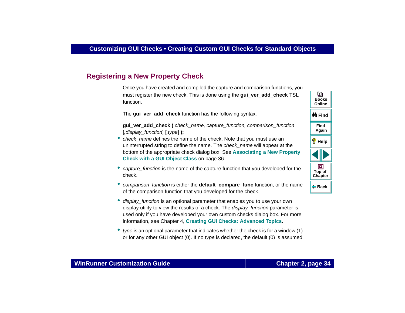## <span id="page-33-0"></span>**Registering a New Property Check**

Once you have created and compiled the capture and comparison functions, you must register the new check. This is done using the **gui\_ver\_add\_check** TSL function.

The **gui\_ver\_add\_check** function has the following syntax:

**gui** ver add check ( *check name, capture function, comparison function* [,display\_function] [,type] **);**

- *check\_name* defines the name of the check. Note that you must use an uninterrupted string to define the name. The *check name* will appear at the bottom of the appropriate check dialog box. See **[Associating a New Property](#page-35-0)  [Check with a GUI Object Class](#page-35-0)** on page 36.
- capture\_function is the name of the capture function that you developed for the check.
- comparison\_function is either the **default\_compare\_func** function, or the name of the comparison function that you developed for the check.
- display\_function is an optional parameter that enables you to use your own display utility to view the results of a check. The *display function* parameter is used only if you have developed your own custom checks dialog box. For more information, see Chapter 4, **[Creating GUI Checks: Advanced Topics](#page-52-1)**.
- • type is an optional parameter that indicates whether the check is for a window (1) or for any other GUI object (0). If no type is declared, the default (0) is assumed.



### **WinRunner Customization Guide**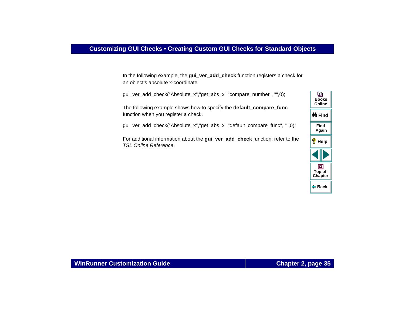In the following example, the **gui\_ver\_add\_check** function registers a check for an object's absolute x-coordinate.

gui\_ver\_add\_check("Absolute\_x","get\_abs\_x","compare\_number", "",0);

The following example shows how to specify the **default\_compare\_func** function when you register a check.

gui\_ver\_add\_check("Absolute\_x","get\_abs\_x","default\_compare\_func", "",0);

For additional information about the **gui\_ver\_add\_check** function, refer to the TSL Online Reference.

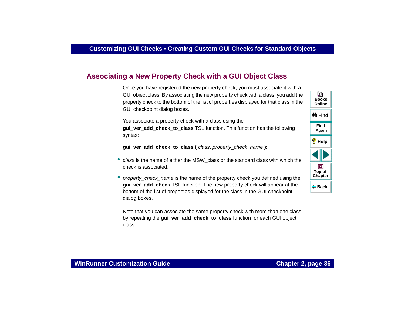# <span id="page-35-0"></span>**Associating a New Property Check with a GUI Object Class**

Once you have registered the new property check, you must associate it with a GUI object class. By associating the new property check with a class, you add the property check to the bottom of the list of properties displayed for that class in the GUI checkpoint dialog boxes.

You associate a property check with a class using the gui ver add check to class TSL function. This function has the following syntax:

**gui\_ver\_add\_check\_to\_class (** class, property*\_*check\_name **);**

- class is the name of either the MSW\_class or the standard class with which the check is associated.
- *property\_check\_name* is the name of the property check you defined using the **gui\_ver\_add\_check** TSL function. The new property check will appear at the bottom of the list of properties displayed for the class in the GUI checkpoint dialog boxes.

Note that you can associate the same property check with more than one class by repeating the **gui\_ver\_add\_check\_to\_class** function for each GUI object class.

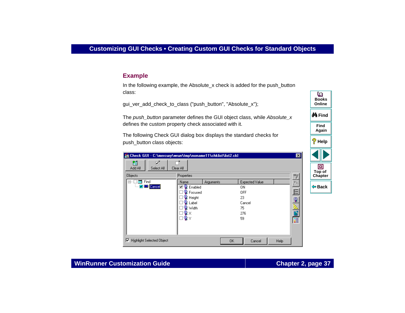#### **Example**

In the following example, the Absolute x check is added for the push button class:

qui ver add check to class ("push button", "Absolute x");

The push button parameter defines the GUI object class, while Absolute  $x$ defines the custom property check associated with it.

The following Check GUI dialog box displays the standard checks for push button class objects:

| Check GUI - C:\mercury\wrun\tmp\noname11\chklist\list2.ckl |                       |           |                |      | $\vert x \vert$ |   |
|------------------------------------------------------------|-----------------------|-----------|----------------|------|-----------------|---|
| 箇<br>⊽⊺<br>Add All<br>Select All                           | Clear All             |           |                |      |                 |   |
| <b>Objects</b>                                             | Properties            |           |                |      |                 |   |
| <b>Exit</b> Find<br>⊟…                                     | Name                  | Arguments | Expected Value |      |                 |   |
| <b>V M</b> Cancel<br>                                      | <b>图</b> Enabled<br>⊽ |           | ΟN             |      |                 | ¢ |
|                                                            | <b>图</b> Focused      |           | <b>OFF</b>     |      | 狛               |   |
|                                                            | <b>图</b> Height       |           | 23             |      | Q               |   |
|                                                            | Label                 |           | Cancel         |      |                 |   |
|                                                            | ¶ୁ Width              |           | 75             |      |                 |   |
|                                                            | ु ×                   |           | 276            |      | Ħ               |   |
|                                                            | ۹₹                    |           | 59             |      | E               |   |
|                                                            |                       |           |                |      |                 |   |
|                                                            |                       |           |                |      |                 |   |
|                                                            |                       |           |                |      |                 |   |
| <b>Highlight Selected Object</b><br>⊽                      |                       | 0K        | Cancel         | Help |                 |   |



### **WinRunner Customization Guide**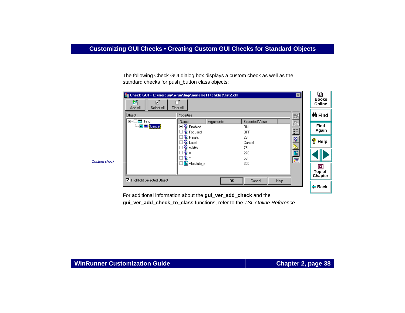The following Check GUI dialog box displays a custom check as well as the standard checks for push\_button class objects:



For additional information about the **gui\_ver\_add\_check** and the **gui** ver add check to class functions, refer to the TSL Online Reference.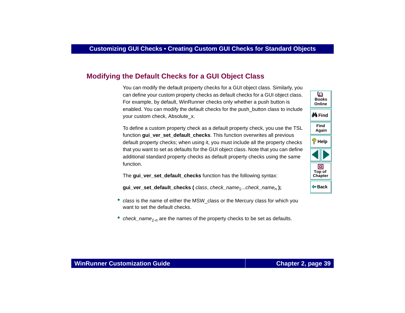# **Modifying the Default Checks for a GUI Object Class**

You can modify the default property checks for a GUI object class. Similarly, you can define your custom property checks as default checks for a GUI object class. For example, by default, WinRunner checks only whether a push button is enabled. You can modify the default checks for the push\_button class to include your custom check, Absolute\_x.

To define a custom property check as a default property check, you use the TSL function **gui\_ver\_set\_default\_checks**. This function overwrites all previous default property checks; when using it, you must include all the property checks that you want to set as defaults for the GUI object class. Note that you can define additional standard property checks as default property checks using the same function.

The **gui** ver set default checks function has the following syntax:

**gui\_ver\_set\_default\_checks (** class, check\_name<sub>1</sub>...check\_name<sub>n</sub> **)**;

- class is the name of either the MSW\_class or the Mercury class for which you want to set the default checks.
- •check\_name<sub>1-n</sub> are the names of the property checks to be set as defaults.

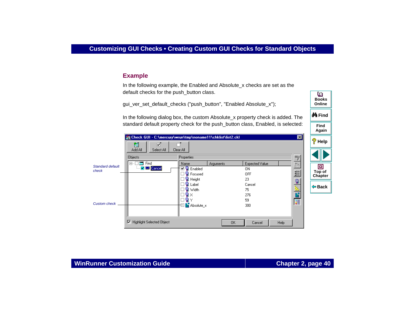#### **Example**

In the following example, the Enabled and Absolute x checks are set as the default checks for the push\_button class.

qui ver set default checks ("push button", "Enabled Absolute x");

In the following dialog box, the custom Absolute  $x$  property check is added. The standard default property check for the push\_button class, Enabled, is selected:

|                                  | Check GUI - C:\mercury\wrun\tmp\noname11\chklist\list2.ckl |                    |           |                | ×l           |
|----------------------------------|------------------------------------------------------------|--------------------|-----------|----------------|--------------|
|                                  | 箇<br>☑<br>Add All<br>Select All                            | Clear All          |           |                |              |
|                                  | <b>Objects</b>                                             | Properties         |           |                | Ð            |
|                                  | Find<br><b>E</b>                                           | Name               | Arguments | Expected Value |              |
| <b>Standard default</b><br>check | <b>V</b> DB Cancel                                         | <b>□ ♀</b> Enabled |           | 0N             |              |
|                                  |                                                            | <b>R</b> Focused   |           | <b>OFF</b>     | 甾            |
|                                  |                                                            | Height             |           | 23             | $\mathbf{Q}$ |
|                                  |                                                            | Label              |           | Cancel         |              |
|                                  |                                                            | ାହି Width          |           | 75             | 医日           |
|                                  |                                                            |                    |           | 276            |              |
|                                  |                                                            | Θ                  |           | 59             | E            |
| <b>Custom check</b>              |                                                            | Absolute_x         |           | 300            |              |
|                                  |                                                            |                    |           |                |              |
|                                  | 1⊽<br><b>Highlight Selected Object</b>                     |                    | OK.       | Cancel         | Help         |

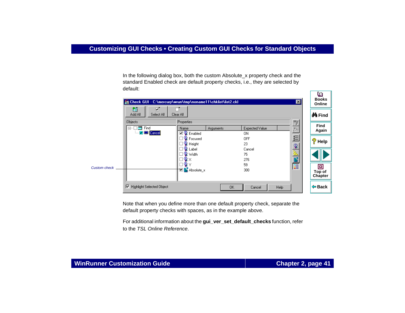In the following dialog box, both the custom Absolute\_x property check and the standard Enabled check are default property checks, i.e., they are selected by default:

|              | Check GUI - C:\mercury\wrun\tmp\noname11\chklist\list2.ckl |                                          |           |                      | ⊠       | التقارب<br><b>Books</b><br>Online |
|--------------|------------------------------------------------------------|------------------------------------------|-----------|----------------------|---------|-----------------------------------|
|              | 笛<br>☑<br>Add All<br>Select All                            | Clear All                                |           |                      |         | <b>M</b> Find                     |
|              | <b>Objects</b><br>æ.<br>Find<br>曰…<br><b>V Bill</b> Cancel | Properties<br>Name<br><b>⊡</b> • Enabled | Arguments | Expected Value<br>ΟN | ħ       | Find<br>Again                     |
|              |                                                            | ◉<br>Focused<br><b>Height</b>            |           | <b>OFF</b><br>23     | 给<br>Q  | စွ<br>Help                        |
|              |                                                            | Label<br><b>Q</b> Width                  |           | Cancel<br>75<br>276  | 린<br>пP |                                   |
| Custom check |                                                            | <b>D</b> Absolute_x                      |           | 59<br>300            | E       | ▣<br>Top of<br>Chapter            |
|              | <b>Highlight Selected Object</b><br>⊽                      |                                          | 0K        | Cancel               | Help    | <b>← Back</b>                     |

Note that when you define more than one default property check, separate the default property checks with spaces, as in the example above.

For additional information about the **gui\_ver\_set\_default\_checks** function, refer to the TSL Online Reference.

ſю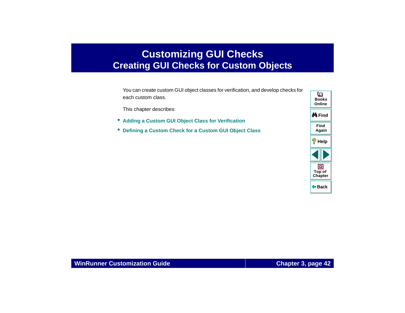# <span id="page-41-2"></span><span id="page-41-0"></span>**Customizing GUI Checks Creating GUI Checks for Custom Objects**

<span id="page-41-1"></span>You can create custom GUI object classes for verification, and develop checks for each custom class.

This chapter describes:

- **[Adding a Custom GUI Object Class for Verification](#page-45-0)**
- •**[Defining a Custom Check for a Custom GUI Object Class](#page-50-0)**

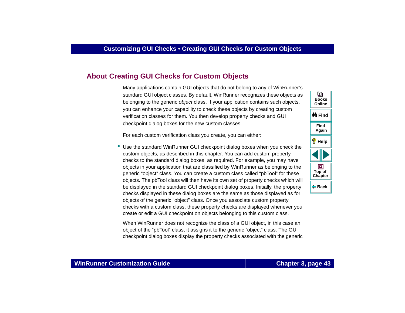## **About [Creating GUI Checks for Custom Objects](#page-41-1)**

Many applications contain GUI objects that do not belong to any of WinRunner's standard GUI object classes. By default, WinRunner recognizes these objects as belonging to the generic object class. If your application contains such objects, you can enhance your capability to check these objects by creating custom verification classes for them. You then develop property checks and GUI checkpoint dialog boxes for the new custom classes.

For each custom verification class you create, you can either:

• Use the standard WinRunner GUI checkpoint dialog boxes when you check the custom objects, as described in this chapter. You can add custom property checks to the standard dialog boxes, as required. For example, you may have objects in your application that are classified by WinRunner as belonging to the generic "object" class. You can create a custom class called "pbTool" for these objects. The pbTool class will then have its own set of property checks which will be displayed in the standard GUI checkpoint dialog boxes. Initially, the property checks displayed in these dialog boxes are the same as those displayed as for objects of the generic "object" class. Once you associate custom property checks with a custom class, these property checks are displayed whenever you create or edit a GUI checkpoint on objects belonging to this custom class.

When WinRunner does not recognize the class of a GUI object, in this case an object of the "pbTool" class, it assigns it to the generic "object" class. The GUI checkpoint dialog boxes display the property checks associated with the generic

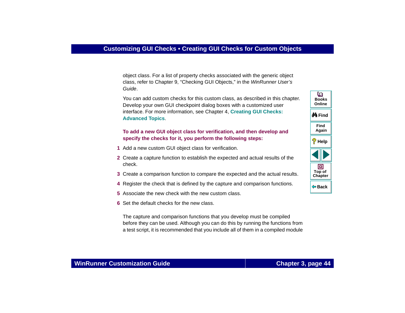object class. For a list of property checks associated with the generic object class, refer to Chapter 9, "Checking GUI Objects," in the WinRunner User's Guide.

You can add custom checks for this custom class, as described in this chapter. Develop your own GUI checkpoint dialog boxes with a customized user interface. For more information, see Chapter 4, **[Creating GUI Checks:](#page-52-0)  [Advanced Topics](#page-52-0)**.

#### **To add a new GUI object class for verification, and then develop and specify the checks for it, you perform the following steps:**

- **1** Add a new custom GUI object class for verification.
- **2** Create a capture function to establish the expected and actual results of the check.
- **3** Create a comparison function to compare the expected and the actual results.
- **4** Register the check that is defined by the capture and comparison functions.
- **5** Associate the new check with the new custom class.
- **6** Set the default checks for the new class.

The capture and comparison functions that you develop must be compiled before they can be used. Although you can do this by running the functions from a test script, it is recommended that you include all of them in a compiled module



## **WinRunner Customization Guide**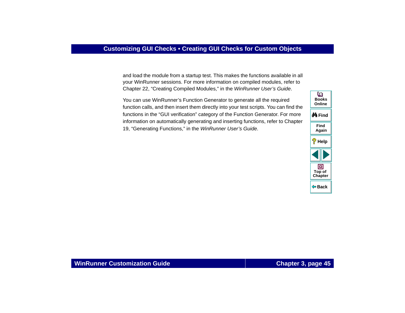and load the module from a startup test. This makes the functions available in all your WinRunner sessions. For more information on compiled modules, refer to Chapter 22, "Creating Compiled Modules," in the WinRunner User's Guide.

You can use WinRunner's Function Generator to generate all the required function calls, and then insert them directly into your test scripts. You can find the functions in the "GUI verification" category of the Function Generator. For more information on automatically generating and inserting functions, refer to Chapter 19, "Generating Functions," in the WinRunner User's Guide.

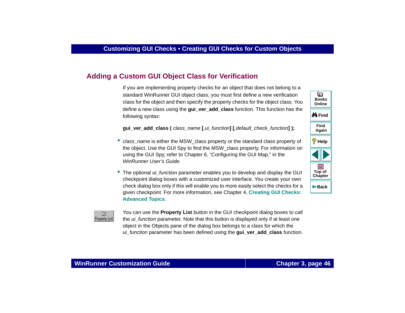# <span id="page-45-0"></span>**Adding a Custom GUI Object Class for Verification**

If you are implementing property checks for an object that does not belong to a standard WinRunner GUI object class, you must first define a new verification class for the object and then specify the property checks for the object class. You define a new class using the **gui\_ver\_add\_class** function. This function has the following syntax:

**gui\_ver\_add\_class (** class\_name **[**,ui\_function**] [**,default\_check\_function**] );**

- class\_name is either the MSW\_class property or the standard class property of the object. Use the GUI Spy to find the MSW\_class property. For information on using the GUI Spy, refer to Chapter 6, "Configuring the GUI Map," in the WinRunner User's Guide.
- The optional *ui\_function* parameter enables you to develop and display the GUI checkpoint dialog boxes with a customized user interface. You create your own check dialog box only if this will enable you to more easily select the checks for a given checkpoint. For more information, see Chapter 4, **[Creating GUI Checks:](#page-52-0)  [Advanced Topics](#page-52-0)**.



You can use the **Property List** button in the GUI checkpoint dialog boxes to call the ui\_function parameter. Note that this button is displayed only if at least one object in the Objects pane of the dialog box belongs to a class for which the ui function parameter has been defined using the **gui ver add class** function.

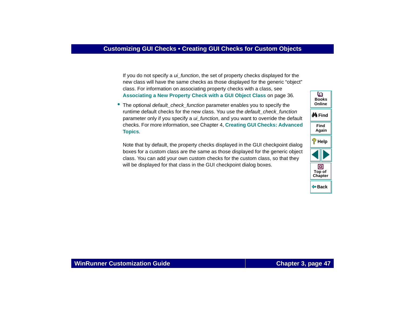If you do not specify a *ui\_function*, the set of property checks displayed for the new class will have the same checks as those displayed for the generic "object" class. For information on associating property checks with a class, see **[Associating a New Property Check with a GUI Object Class](#page-35-0)** on page 36.

• The optional *default\_check\_function* parameter enables you to specify the runtime default checks for the new class. You use the *default check function* parameter only if you specify a *ui\_function*, and you want to override the default checks. For more information, see Chapter 4, **[Creating GUI Checks: Advanced](#page-52-0)  [Topics](#page-52-0)**.

Note that by default, the property checks displayed in the GUI checkpoint dialog boxes for a custom class are the same as those displayed for the generic object class. You can add your own custom checks for the custom class, so that they will be displayed for that class in the GUI checkpoint dialog boxes.

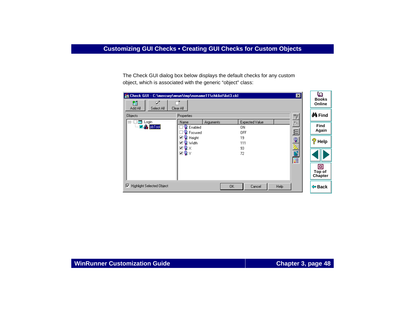The Check GUI dialog box below displays the default checks for any custom object, which is associated with the generic "object" class:

| Check GUI - C:\mercury\wrun\tmp\noname11\chklist\list3.ckl      |                                                          |           |                                    | 図            | o<br><b>Books</b>      |
|-----------------------------------------------------------------|----------------------------------------------------------|-----------|------------------------------------|--------------|------------------------|
| 箇<br>☞<br>Add All<br>Select All                                 | Clear All                                                |           |                                    |              | Online                 |
| <b>Objects</b>                                                  | Properties                                               |           |                                    | 3            | <b>@A</b> Find         |
| Login<br>曰…<br>$\blacksquare$ $\blacksquare$ $\clubsuit$ pbTool | Name<br><b>R</b> Enabled<br><b>R</b> Focused             | Arguments | Expected Value<br>ΟN<br><b>OFF</b> | 怨            | <b>Find</b><br>Again   |
|                                                                 | □ <mark>•</mark> Height<br>⊡ <mark>©</mark> Width<br>⊡¶x |           | 19<br>111<br>93                    | ୍କୁ          | ę<br>Help              |
|                                                                 | ⊡ਊY                                                      |           | 72                                 | i.<br>E<br>E |                        |
|                                                                 |                                                          |           |                                    |              | o<br>Top of<br>Chapter |
| ⊽<br><b>Highlight Selected Object</b>                           |                                                          | 0K        | Cancel                             | Help         | $\Leftrightarrow$ Back |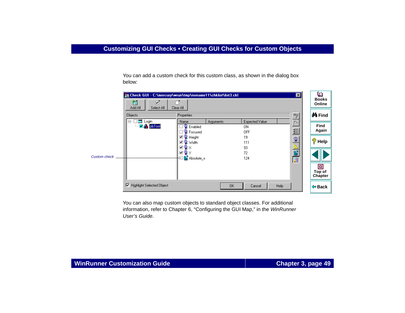You can add a custom check for this custom class, as shown in the dialog box below:



You can also map custom objects to standard object classes. For additional information, refer to Chapter 6, "Configuring the GUI Map," in the WinRunner User's Guide.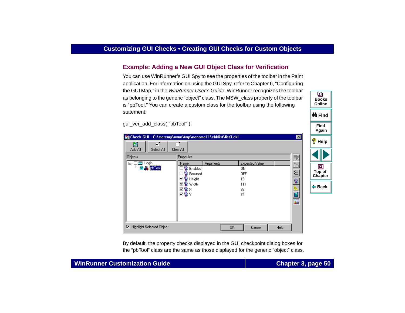## **Example: Adding a New GUI Object Class for Verification**

You can use WinRunner's GUI Spy to see the properties of the toolbar in the Paint application. For information on using the GUI Spy, refer to Chapter 6, "Configuring the GUI Map," in the *WinRunner User's Guide*. WinRunner recognizes the toolbar as belonging to the generic "object" class. The MSW\_class property of the toolbar is "pbTool." You can create a custom class for the toolbar using the following statement:

gui\_ver\_add\_class( "pbTool" );

|                                                                                                                                                                                                                                                                                                                                                                                                                                                                                                                                                                                                                                                                                                                                                                                 | Again                                   |
|---------------------------------------------------------------------------------------------------------------------------------------------------------------------------------------------------------------------------------------------------------------------------------------------------------------------------------------------------------------------------------------------------------------------------------------------------------------------------------------------------------------------------------------------------------------------------------------------------------------------------------------------------------------------------------------------------------------------------------------------------------------------------------|-----------------------------------------|
| ⊠<br>Check GUI - C:\mercury\wrun\tmp\noname11\chklist\list3.ckl<br>⊽⊺<br>箇                                                                                                                                                                                                                                                                                                                                                                                                                                                                                                                                                                                                                                                                                                      | ೪<br>Help                               |
| Add All<br>Select All<br>Clear All<br><b>Objects</b><br><b>Properties</b><br>Ξ,<br>Login<br>Expected Value<br>$\Box$<br>Name<br>Arguments<br>灎<br>$\n  o$ $\overline{\phantom{a}}$ $\overline{\phantom{a}}$ $\overline{\phantom{a}}$ $\overline{\phantom{a}}$ $\overline{\phantom{a}}$ $\overline{\phantom{a}}$ $\overline{\phantom{a}}$ $\overline{\phantom{a}}$ $\overline{\phantom{a}}$ $\overline{\phantom{a}}$ $\overline{\phantom{a}}$ $\overline{\phantom{a}}$ $\overline{\phantom{a}}$ $\overline{\phantom{a}}$ $\overline{\phantom{a}}$ $\overline{\phantom{a}}$ $\overline{\phantom{a}}$ $\overline{\$<br>Enabled<br>0N.<br>:<br>钤<br>¶≹ Focused<br><b>OFF</b><br><b>A</b> Height<br>⊽<br>19<br>್ಟಿ<br>ାରୁ Width<br>▿<br>111<br>塾<br>⊡ଵ×<br>93<br>æ<br>⊡¶Y<br>72<br>E | ▣<br>Top of<br>Chapter<br><b>← Back</b> |
| <b>Highlight Selected Object</b><br> ⊽<br>0K<br>Cancel<br>Help                                                                                                                                                                                                                                                                                                                                                                                                                                                                                                                                                                                                                                                                                                                  |                                         |

By default, the property checks displayed in the GUI checkpoint dialog boxes for the "pbTool" class are the same as those displayed for the generic "object" class. **Find**

**M** Find

**BooksOnline**

o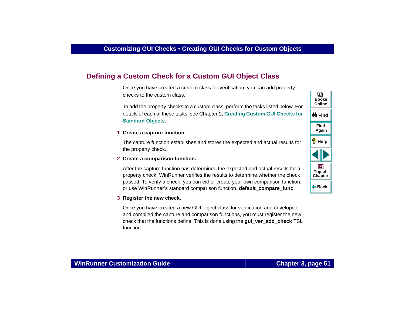# <span id="page-50-0"></span>**Defining a Custom Check for a Custom GUI Object Class**

Once you have created a custom class for verification, you can add property checks to the custom class.

To add the property checks to a custom class, perform the tasks listed below. For details of each of these tasks, see Chapter 2, **[Creating Custom GUI Checks for](#page-19-1)  [Standard Objects](#page-19-1)**.

#### **1 Create a capture function.**

The capture function establishes and stores the expected and actual results for the property check.

#### **2 Create a comparison function.**

After the capture function has determined the expected and actual results for a property check, WinRunner verifies the results to determine whether the check passed. To verify a check, you can either create your own comparison function, or use WinRunner's standard comparison function, **default\_compare\_func**.

#### **3 Register the new check.**

Once you have created a new GUI object class for verification and developed and compiled the capture and comparison functions, you must register the new check that the functions define. This is done using the **gui\_ver\_add\_check** TSL function.

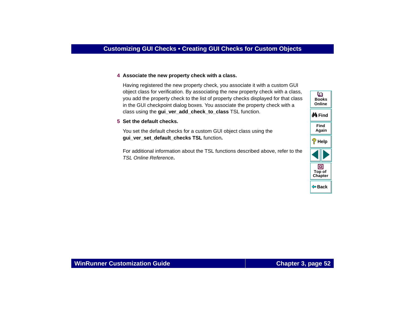#### **4 Associate the new property check with a class.**

Having registered the new property check, you associate it with a custom GUI object class for verification. By associating the new property check with a class, you add the property check to the list of property checks displayed for that class in the GUI checkpoint dialog boxes. You associate the property check with a class using the **gui\_ver\_add\_check\_to\_class** TSL function.

#### **5 Set the default checks.**

You set the default checks for a custom GUI object class using the **gui\_ver\_set\_default\_checks TSL** function**.** 

For additional information about the TSL functions described above, refer to the TSL Online Reference**.**

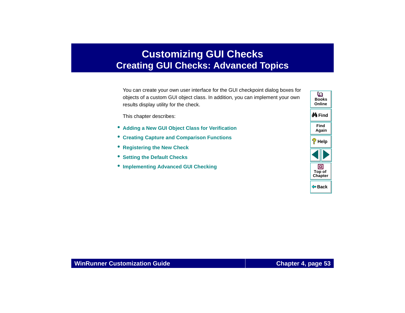# <span id="page-52-1"></span>**Customizing GUI Checks Creating GUI Checks: Advanced Topics**

<span id="page-52-0"></span>You can create your own user interface for the GUI checkpoint dialog boxes for objects of a custom GUI object class. In addition, you can implement your own results display utility for the check.

This chapter describes:

- **[Adding a New GUI Object Class for Verification](#page-54-0)**
- •**[Creating Capture and Comparison Functions](#page-56-0)**
- **[Registering the New Check](#page-57-0)**
- **[Setting the Default Checks](#page-60-0)**
- **[Implementing Advanced GUI Checking](#page-61-0)**

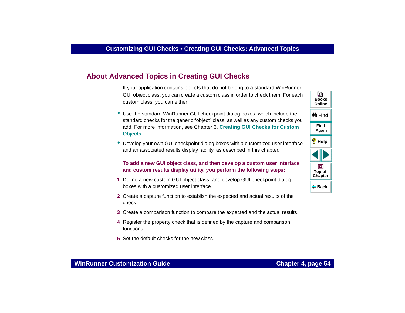# **About Advanced Topics in Creating GUI Checks**

If your application contains objects that do not belong to a standard WinRunner GUI object class, you can create a custom class in order to check them. For each custom class, you can either:

- Use the standard WinRunner GUI checkpoint dialog boxes, which include the standard checks for the generic "object" class, as well as any custom checks you add. For more information, see Chapter 3, **[Creating GUI Checks for Custom](#page-41-2)  [Objects](#page-41-2)**.
- Develop your own GUI checkpoint dialog boxes with a customized user interface and an associated results display facility, as described in this chapter.

#### **To add a new GUI object class, and then develop a custom user interface and custom results display utility, you perform the following steps:**

- **1** Define a new custom GUI object class, and develop GUI checkpoint dialog boxes with a customized user interface.
- **2** Create a capture function to establish the expected and actual results of the check.
- **3** Create a comparison function to compare the expected and the actual results.
- **4** Register the property check that is defined by the capture and comparison functions.
- **5** Set the default checks for the new class.

**Back**

**[Chapter](#page-52-1) Top of**

回

**Find**

**Again**

**Help**

**M**iFind

**BooksOnline**

o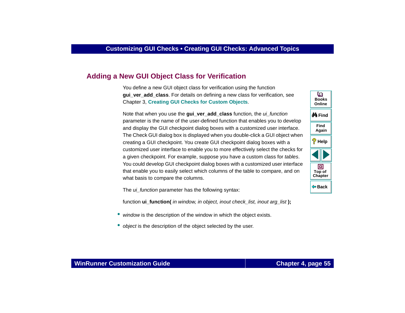# <span id="page-54-0"></span>**Adding a New GUI Object Class for Verification**

You define a new GUI object class for verification using the function **gui** ver add class. For details on defining a new class for verification, see Chapter 3, **[Creating GUI Checks for Custom Objects](#page-41-2)**.

Note that when you use the gui\_ver\_add\_class function, the ui\_function parameter is the name of the user-defined function that enables you to develop and display the GUI checkpoint dialog boxes with a customized user interface. The Check GUI dialog box is displayed when you double-click a GUI object when creating a GUI checkpoint. You create GUI checkpoint dialog boxes with a customized user interface to enable you to more effectively select the checks for a given checkpoint. For example, suppose you have a custom class for tables. You could develop GUI checkpoint dialog boxes with a customized user interface that enable you to easily select which columns of the table to compare, and on what basis to compare the columns.

The *ui\_function* parameter has the following syntax:

function **ui** function( in window, in object, inout check list, inout arg list);

- •window is the description of the window in which the object exists.
- •object is the description of the object selected by the user.

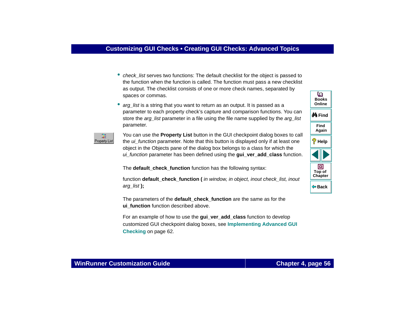- *check\_list* serves two functions: The default checklist for the object is passed to the function when the function is called. The function must pass a new checklist as output. The checklist consists of one or more check names, separated by spaces or commas.
- •arg list is a string that you want to return as an output. It is passed as a parameter to each property check's capture and comparison functions. You can store the *arg\_list* parameter in a file using the file name supplied by the *arg\_list* parameter.



You can use the **Property List** button in the GUI checkpoint dialog boxes to call the ui function parameter. Note that this button is displayed only if at least one object in the Objects pane of the dialog box belongs to a class for which the ui\_function parameter has been defined using the **gui\_ver\_add\_class** function.

The **default** check function function has the following syntax:

function **default** check function (*in window, in object, inout check list, inout* arg\_list **);**

The parameters of the **default\_check\_function** are the same as for the **ui** function function described above.

For an example of how to use the **gui** ver add class function to develop customized GUI checkpoint dialog boxes, see **[Implementing Advanced GUI](#page-61-0)  Checking** [on page 62](#page-61-0).



### **WinRunner Customization Guide**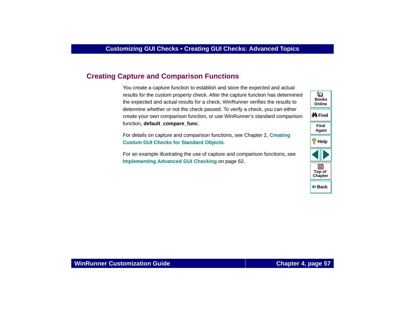## <span id="page-56-0"></span>**Creating Capture and Comparison Functions**

You create a capture function to establish and store the expected and actual results for the custom property check. After the capture function has determined the expected and actual results for a check, WinRunner verifies the results to determine whether or not the check passed. To verify a check, you can either create your own comparison function, or use WinRunner's standard comparison function, **default** compare func.

For details on capture and comparison functions, see Chapter 2, **[Creating](#page-19-1)  [Custom GUI Checks for Standard Objects](#page-19-1)**.

For an example illustrating the use of capture and comparison functions, see **[Implementing Advanced GUI Checking](#page-61-0) on page 62.** 

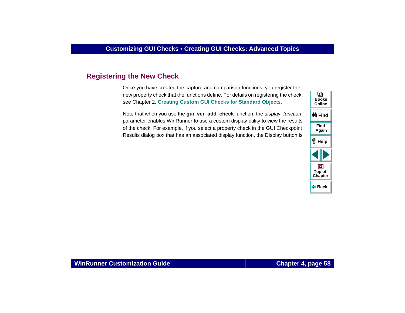# <span id="page-57-0"></span>**Registering the New Check**

Once you have created the capture and comparison functions, you register the new property check that the functions define. For details on registering the check, see Chapter 2, **[Creating Custom GUI Checks for Standard Objects](#page-19-1)**.

Note that when you use the **gui\_ver\_add\_check** function, the display\_function parameter enables WinRunner to use a custom display utility to view the results of the check. For example, if you select a property check in the GUI Checkpoint Results dialog box that has an associated display function, the Display button is

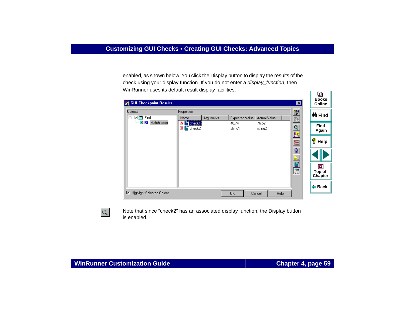enabled, as shown below. You click the Display button to display the results of the check using your display function. If you do not enter a *display\_function*, then WinRunner uses its default result display facilities*.*

| $\frac{\text{exp}\sigma}{\text{exp}(\sigma)}$<br><b>Objects</b><br>Properties<br>⊟… <b>√ am</b> Find<br>Expected Value<br>Actual Value<br>Name<br>Arguments<br>È.<br>$\mathbf{X}$ $\mathbf{B}$ check1<br>Match case<br>48.74<br>76.52 |                      |
|---------------------------------------------------------------------------------------------------------------------------------------------------------------------------------------------------------------------------------------|----------------------|
|                                                                                                                                                                                                                                       | <b>@</b> ∱ Find      |
| Q<br>$X$ check2<br>string2<br>string1<br>$\frac{1}{\sqrt{\frac{180}{RCT}}}$                                                                                                                                                           | <b>Find</b><br>Again |
| ?<br>賀                                                                                                                                                                                                                                | Help                 |
| ■出口                                                                                                                                                                                                                                   |                      |
| 信<br>Top of                                                                                                                                                                                                                           | о<br>Chapter         |
| $\Leftrightarrow$ Back<br>⊽<br><b>Highlight Selected Object</b><br>Help<br>0K<br>Cancel                                                                                                                                               |                      |



Note that since "check2" has an associated display function, the Display button is enabled.

o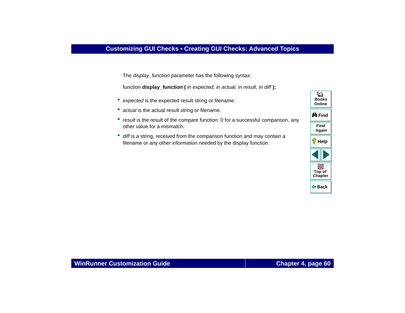The *display\_function* parameter has the following syntax:

function **display** function ( in expected, in actual, in result, in diff);

- expected is the expected result string or filename.
- actual is the actual result string or filename.
- *result* is the result of the compare function: 0 for a successful comparison, any other value for a mismatch.
- diff is a string, received from the comparison function and may contain a filename or any other information needed by the display function.

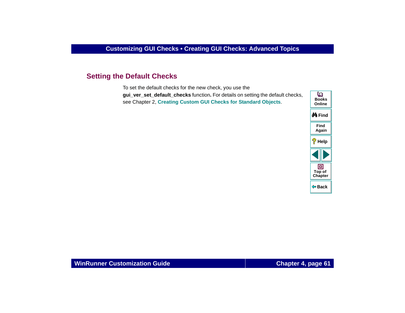## <span id="page-60-0"></span>**Setting the Default Checks**

To set the default checks for the new check, you use the **gui** ver set default checks function. For details on setting the default checks, see Chapter 2, **[Creating Custom GUI Checks for Standard Objects](#page-19-1)**.

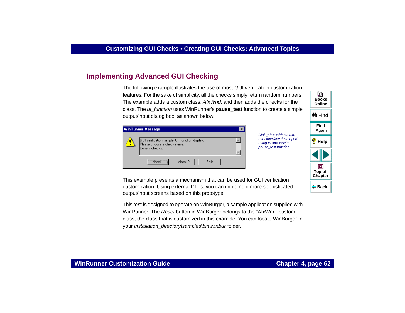# <span id="page-61-0"></span>**Implementing Advanced GUI Checking**

The following example illustrates the use of most GUI verification customization features. For the sake of simplicity, all the checks simply return random numbers. The example adds a custom class, AfxWnd, and then adds the checks for the class. The ui\_function uses WinRunner's **pause\_test** function to create a simple output/input dialog box, as shown below.

| <b>WinRunner Message</b> |                                                                                                |  |
|--------------------------|------------------------------------------------------------------------------------------------|--|
|                          | GUI verification sample UI_function display.<br>Please choose a check name.<br>Current checks: |  |
|                          | <br>check2<br>Both                                                                             |  |

Dialog box with custom user interface developed using *WinRunner*'s pause\_test function



**Books**

o

This example presents a mechanism that can be used for GUI verification customization. Using external DLLs, you can implement more sophisticated output/input screens based on this prototype.

This test is designed to operate on WinBurger, a sample application supplied with WinRunner. The Reset button in WinBurger belongs to the "AfxWnd" custom class, the class that is customized in this example. You can locate WinBurger in your installation\_directory\samples\bin\winbur folder.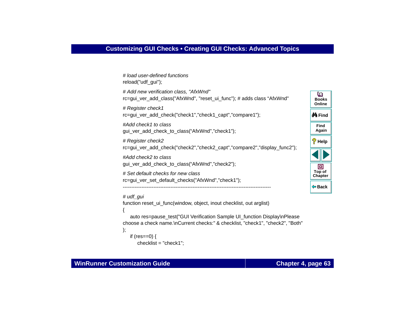```
# load user-defined functions 
reload("udf_gui");
# Add new verification class, "AfxWnd"
                                                                                      o
rc=gui_ver_add_class("AfxWnd", "reset_ui_func"); # adds class "AfxWnd"
                                                                                     BooksOnline# Register check1
rc=qui_ver_add_check("check1","check1_capt","compare1");
                                                                                    M Find
#Add check1 to classFindAgain
gui ver add check to class("AfxWnd","check1");
# Register check2
                                                                                    <sup>2</sup> Help
rc=gui_ver_add_check("check2","check2_capt","compare2","display_func2"); 
#Add check2 to classgui_ver_add_check_to_class("AfxWnd","check2");
                                                                                       同
                                                                                     Top of
# Set default checks for new classChapter
rc=gui_ver_set_default_checks("AfxWnd","check1");
                                                                                    Back---------------------------------------------------------------------------------------# udf_qui
function reset ui func(window, object, inout checklist, out arglist)
{
   auto res=pause_test("GUI Verification Sample UI_function Display\nPlease
choose a check name.\nCurrent checks:" & checklist, "check1", "check2", "Both" 
);
   if (res==0) \{checklist = "check1";
```
#### **WinRunner Customization Guide**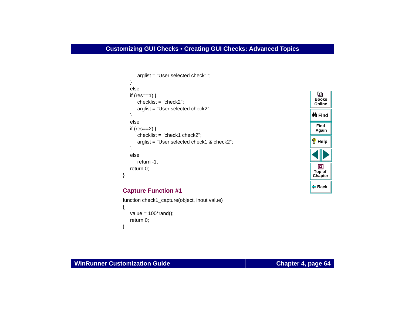```
arglist = "User selected check1";
   }
   elseif (res==1) {
      checklist = "check2";
      arglist = "User selected check2";
   }
   elseif (res==2) \{checklist = "check1 check2";
      arglist = "User selected check1 & check2";
   }
   elsereturn -1;
   return 0;
}
```


### **Capture Function #1**

```
function check1_capture(object, inout value)
{
   value = 100*rand();
   return 0;
}
```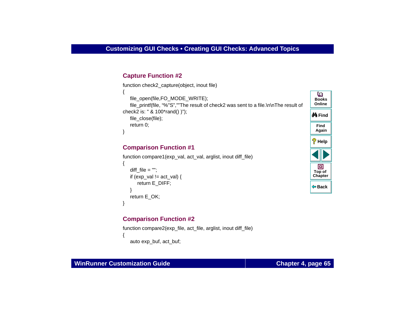## **Capture Function #2**

```
function check2 capture(object, inout file)
{
                                                                                         o
   file_open(file,FO_MODE_WRITE);
                                                                                        BooksOnlinefile_printf(file, "%"S",""The result of check2 was sent to a file.\n\nThe result of
check2 is: " & 100*rand() )");
                                                                                       M Find
   file_close(file);
   return 0;
                                                                                         FindAgain
}
```
### **Comparison Function #1**

```
function compare1(exp_val, act_val, arglist, inout diff_file)
{
   diff file = "";
   if (exp_val != act_val) {
       return E_DIFF;
    }
   return E_OK;
}
```
## **Comparison Function #2**

```
function compare2(exp_file, act_file, arglist, inout diff_file)
{
   auto exp_buf, act_buf;
```
**Back**

**[Chapter](#page-52-1) Top of**

回

**Help**

### **WinRunner Customization Guide**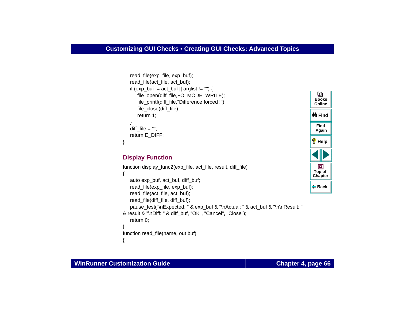```
read_file(exp_file, exp_buf);
read_file(act_file, act_buf);
if (exp buf != act buf || arglist != "") {
   file_open(diff_file,FO_MODE_WRITE);
   file_printf(diff_file,"Difference forced !");
   file_close(diff_file);
   return 1;
}
diff file = "";
return E_DIFF;
```
## **Display Function**

```
function display func2(exp_file, act_file, result, diff_file)
{
   auto exp_buf, act_buf, diff_buf;
   read_file(exp_file, exp_buf);
   read_file(act_file, act_buf);
   read_file(diff_file, diff_buf);
   pause_test("\nExpected: " & exp_buf & "\nActual: " & act_buf & "\n\nResult: " 
& result & "\nDiff: " & diff_buf, "OK", "Cancel", "Close");
   return 0;
}
function read file(name, out buf)
{
```


}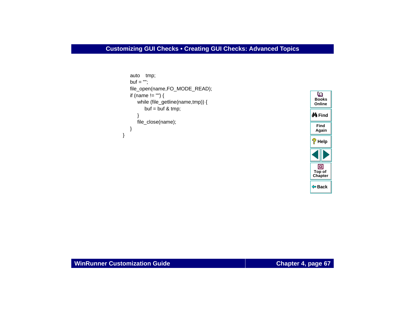```
auto tmp;
   but = "":file_open(name,FO_MODE_READ);
   if (name != "") {
      while (file_getline(name,tmp)) {
         buf = buf & tmp;
      }
      file_close(name);
   }
}
```
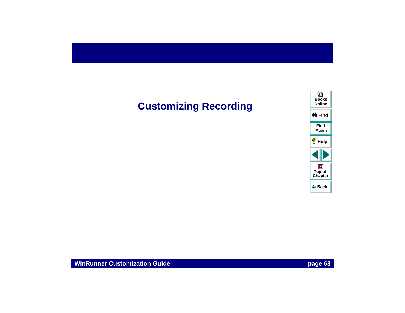# **Customizing Recording**

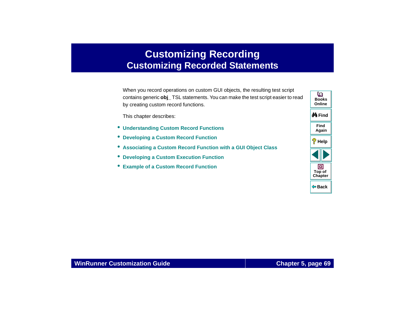# <span id="page-68-0"></span>**Customizing Recording Customizing Recorded Statements**

<span id="page-68-1"></span>When you record operations on custom GUI objects, the resulting test script contains generic **obj\_** TSL statements. You can make the test script easier to read by creating custom record functions.

This chapter describes:

- **[Understanding Custom Record Functions](#page-71-0)**
- **[Developing a Custom Record Function](#page-76-0)**
- **[Associating a Custom Record Function with a GUI Object Class](#page-81-0)**
- •**[Developing a Custom Execution Function](#page-82-0)**
- **[Example of a Custom Record Function](#page-84-0)**

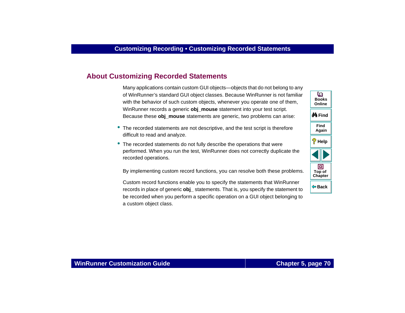# **About [Customizing Recorded Statements](#page-68-1)**

Many applications contain custom GUI objects—objects that do not belong to any of WinRunner's standard GUI object classes. Because WinRunner is not familiar with the behavior of such custom objects, whenever you operate one of them, WinRunner records a generic **obj\_mouse** statement into your test script. Because these **obj mouse** statements are generic, two problems can arise:

- The recorded statements are not descriptive, and the test script is therefore difficult to read and analyze.
- The recorded statements do not fully describe the operations that were performed. When you run the test, WinRunner does not correctly duplicate the recorded operations.

By implementing custom record functions, you can resolve both these problems.

Custom record functions enable you to specify the statements that WinRunner records in place of generic **obj\_** statements. That is, you specify the statement to be recorded when you perform a specific operation on a GUI object belonging to a custom object class.

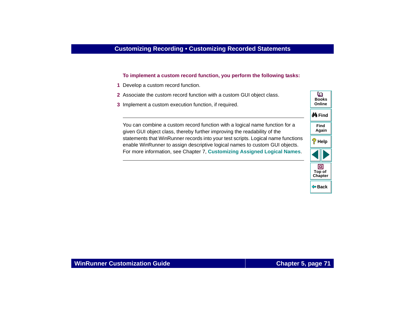#### **To implement a custom record function, you perform the following tasks:**

- **1** Develop a custom record function.
- **2** Associate the custom record function with a custom GUI object class.
- **3** Implement a custom execution function, if required.

You can combine a custom record function with a logical name function for a given GUI object class, thereby further improving the readability of the statements that WinRunner records into your test scripts. Logical name functions enable WinRunner to assign descriptive logical names to custom GUI objects. For more information, see Chapter 7, **[Customizing Assigned Logical Names](#page-111-0)**.

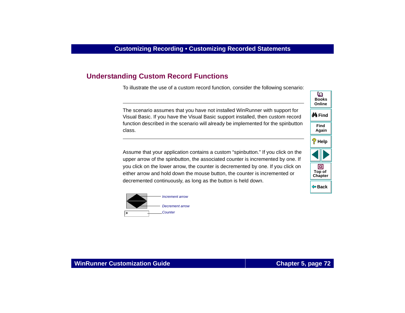# <span id="page-71-0"></span>**Understanding Custom Record Functions**

To illustrate the use of a custom record function, consider the following scenario:

The scenario assumes that you have not installed WinRunner with support for Visual Basic. If you have the Visual Basic support installed, then custom record function described in the scenario will already be implemented for the spinbutton class.

Assume that your application contains a custom "spinbutton." If you click on the upper arrow of the spinbutton, the associated counter is incremented by one. If you click on the lower arrow, the counter is decremented by one. If you click on either arrow and hold down the mouse button, the counter is incremented or decremented continuously, as long as the button is held down.





### **WinRunner Customization Guide**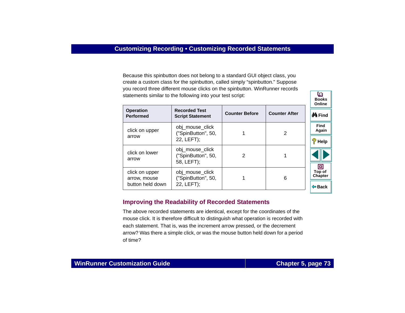Because this spinbutton does not belong to a standard GUI object class, you create a custom class for the spinbutton, called simply "spinbutton." Suppose you record three different mouse clicks on the spinbutton. WinRunner records statements similar to the following into your test script:

|                                      |                                                     |                       |                      | Online                 |
|--------------------------------------|-----------------------------------------------------|-----------------------|----------------------|------------------------|
| <b>Operation</b><br><b>Performed</b> | <b>Recorded Test</b><br><b>Script Statement</b>     | <b>Counter Before</b> | <b>Counter After</b> | ∯A Find                |
| click on upper                       | obj_mouse_click<br>("SpinButton", 50,               |                       | 2                    | <b>Find</b><br>Again   |
| arrow                                | 22, LEFT);                                          |                       |                      | ?<br>Help              |
| click on lower<br>arrow              | obj_mouse_click<br>("SpinButton", 50,<br>58, LEFT); | 2                     | 1                    |                        |
| click on upper<br>arrow, mouse       | obj_mouse_click<br>("SpinButton", 50,               |                       | 6                    | o<br>Top of<br>Chapter |
| button held down                     | 22, LEFT);                                          |                       |                      | $\Leftrightarrow$ Back |

## **Improving the Readability of Recorded Statements**

The above recorded statements are identical, except for the coordinates of the mouse click. It is therefore difficult to distinguish what operation is recorded with each statement. That is, was the increment arrow pressed, or the decrement arrow? Was there a simple click, or was the mouse button held down for a period of time?

**Books**

o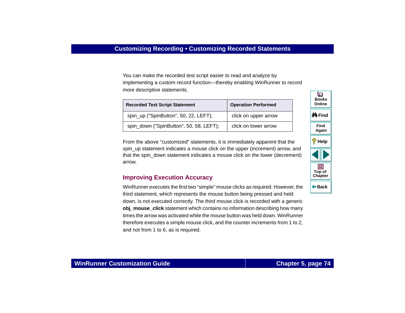You can make the recorded test script easier to read and analyze by implementing a custom record function—thereby enabling WinRunner to record more descriptive statements.

| <b>Recorded Test Script Statement</b>   | <b>Operation Performed</b> |
|-----------------------------------------|----------------------------|
| spin_up ("SpinButton", 50, 22, LEFT);   | click on upper arrow       |
| spin_down ("SpinButton", 50, 58, LEFT); | click on lower arrow       |

From the above "customized" statements, it is immediately apparent that the spin\_up statement indicates a mouse click on the upper (increment) arrow, and that the spin\_down statement indicates a mouse click on the lower (decrement) arrow.

## **Improving Execution Accuracy**

WinRunner executes the first two "simple" mouse clicks as required. However, the third statement, which represents the mouse button being pressed and held down, is not executed correctly. The third mouse click is recorded with a generic **obj\_mouse\_click** statement which contains no information describing how many times the arrow was activated while the mouse button was held down. WinRunner therefore executes a simple mouse click, and the counter increments from 1 to 2, and not from 1 to 6, as is required.

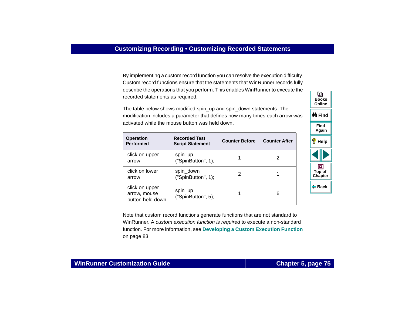By implementing a custom record function you can resolve the execution difficulty. Custom record functions ensure that the statements that WinRunner records fully describe the operations that you perform. This enables WinRunner to execute the recorded statements as required.

The table below shows modified spin\_up and spin\_down statements. The modification includes a parameter that defines how many times each arrow was activated while the mouse button was held down.

| <b>Operation</b><br><b>Performed</b>               | <b>Recorded Test</b><br><b>Script Statement</b> | <b>Counter Before</b> | <b>Counter After</b> |
|----------------------------------------------------|-------------------------------------------------|-----------------------|----------------------|
| click on upper<br>arrow                            | spin_up<br>("SpinButton", 1);                   |                       | 2                    |
| click on lower<br>arrow                            | spin_down<br>("SpinButton", 1);                 | 2                     |                      |
| click on upper<br>arrow, mouse<br>button held down | spin_up<br>("SpinButton", 5);                   |                       | 6                    |





## **WinRunner Customization Guide**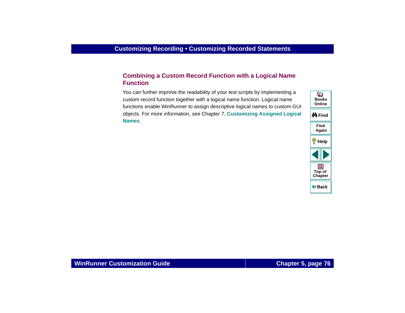# **Combining a Custom Record Function with a Logical Name Function**

You can further improve the readability of your test scripts by implementing a custom record function together with a logical name function. Logical name functions enable WinRunner to assign descriptive logical names to custom GUI objects. For more information, see Chapter 7, **[Customizing Assigned Logical](#page-111-0)  [Names](#page-111-0)**.

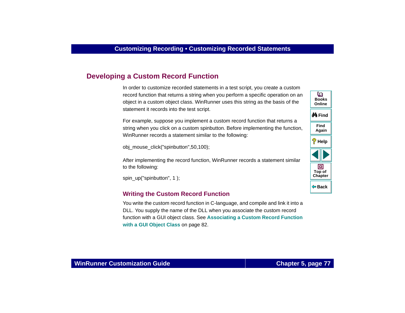# **Developing a Custom Record Function**

In order to customize recorded statements in a test script, you create a custom record function that returns a string when you perform a specific operation on an object in a custom object class. WinRunner uses this string as the basis of the statement it records into the test script.

For example, suppose you implement a custom record function that returns a string when you click on a custom spinbutton. Before implementing the function, WinRunner records a statement similar to the following:

obj\_mouse\_click("spinbutton",50,100);

After implementing the record function, WinRunner records a statement similar to the following:

spin\_up("spinbutton", 1);

### **Writing the Custom Record Function**

You write the custom record function in C-language, and compile and link it into a DLL. You supply the name of the DLL when you associate the custom record function with a GUI object class. See **[Associating a Custom Record Function](#page-81-0)  [with a GUI Object Class](#page-81-0)** on page 82.

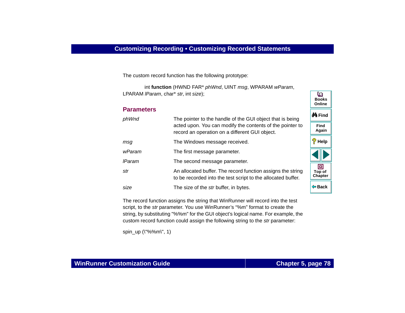The custom record function has the following prototype:

int **function** (HWND FAR\* phWnd, UINT msg, WPARAM wParam, LPARAM IParam, char\* str, int size);

### **Parameters**

| phWnd         | The pointer to the handle of the GUI object that is being                                                                   | ∯A Find                  |
|---------------|-----------------------------------------------------------------------------------------------------------------------------|--------------------------|
|               | acted upon. You can modify the contents of the pointer to<br>record an operation on a different GUI object.                 | <b>Find</b><br>Again     |
| msg           | The Windows message received.                                                                                               | Help                     |
| wParam        | The first message parameter.                                                                                                |                          |
| <b>IParam</b> | The second message parameter.                                                                                               |                          |
| str           | An allocated buffer. The record function assigns the string<br>to be recorded into the test script to the allocated buffer. | Top of<br><b>Chapter</b> |
| size          | The size of the str buffer, in bytes.                                                                                       | ⊕ Back                   |

The record function assigns the string that WinRunner will record into the test script, to the str parameter. You use WinRunner's "%m" format to create the string, by substituting "%%m" for the GUI object's logical name. For example, the custom record function could assign the following string to the str parameter:

spin\_up ( $\frac{1}{8}$ %m\", 1)

**BooksOnline**

o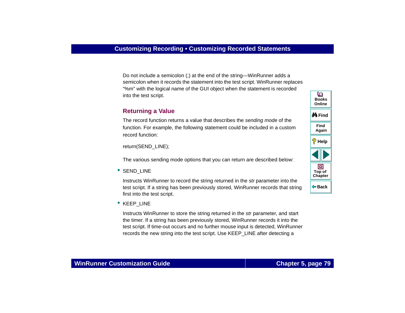Do not include a semicolon (;) at the end of the string—WinRunner adds a semicolon when it records the statement into the test script. WinRunner replaces "%m" with the logical name of the GUI object when the statement is recorded into the test script.

## **Returning a Value**

The record function returns a value that describes the sending mode of the function. For example, the following statement could be included in a custom record function:

return(SEND\_LINE);

The various sending mode options that you can return are described below:

•SEND\_LINE

> Instructs WinRunner to record the string returned in the str parameter into the test script. If a string has been previously stored, WinRunner records that string first into the test script.

● KEEP\_LINE

Instructs WinRunner to store the string returned in the str parameter, and start the timer. If a string has been previously stored, WinRunner records it into the test script. If time-out occurs and no further mouse input is detected, WinRunner records the new string into the test script. Use KEEP\_LINE after detecting a

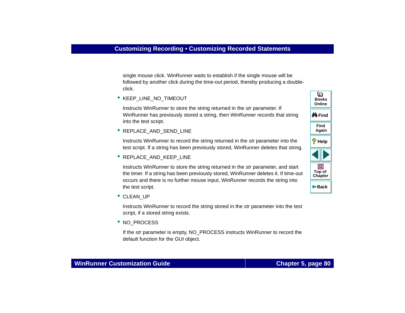single mouse click. WinRunner waits to establish if the single mouse will be followed by another click during the time-out period, thereby producing a doubleclick.

• KEEP\_LINE\_NO\_TIMEOUT

Instructs WinRunner to store the string returned in the str parameter. If WinRunner has previously stored a string, then WinRunner records that string into the test script.

• REPLACE\_AND\_SEND\_LINE

Instructs WinRunner to record the string returned in the str parameter into the test script. If a string has been previously stored, WinRunner deletes that string.

• REPLACE\_AND\_KEEP\_LINE

Instructs WinRunner to store the string returned in the str parameter, and start the timer. If a string has been previously stored, WinRunner deletes it. If time-out occurs and there is no further mouse input, WinRunner records the string into the test script.

• CLEAN UP

Instructs WinRunner to record the string stored in the str parameter into the test script, if a stored string exists.

• NO PROCESS

If the str parameter is empty, NO\_PROCESS instructs WinRunner to record the default function for the GUI object.

**Back**

**[Chapter](#page-68-0) Top of**

回

**Find**

**Again**

**Help**

**M**iFind

**BooksOnline**

o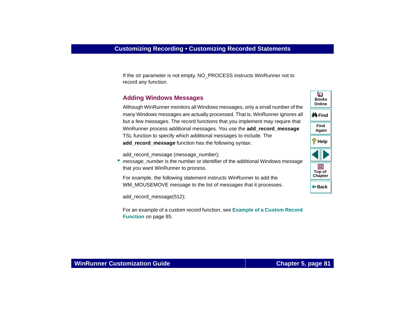If the str parameter is not empty, NO\_PROCESS instructs WinRunner not to record any function.

### **Adding Windows Messages**

Although WinRunner monitors all Windows messages, only a small number of the many Windows messages are actually processed. That is, WinRunner ignores all but a few messages. The record functions that you implement may require that WinRunner process additional messages. You use the **add\_record\_message** TSL function to specify which additional messages to include. The **add\_record\_message** function has the following syntax:

add\_record\_message (message\_number);

•message\_number is the number or identifier of the additional Windows message that you want WinRunner to process.

For example, the following statement instructs WinRunner to add the WM\_MOUSEMOVE message to the list of messages that it processes.

add\_record\_message(512);

For an example of a custom record function, see **[Example of a Custom Record](#page-84-0)  Function** [on page 85](#page-84-0).

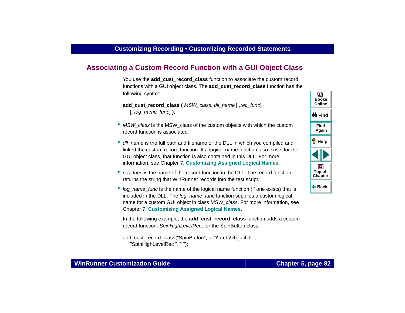# <span id="page-81-0"></span>**Associating a Custom Record Function with a GUI Object Class**

You use the **add\_cust\_record\_class** function to associate the custom record functions with a GUI object class. The **add\_cust\_record\_class** function has the following syntax:

**add\_cust\_record\_class (** MSW\_class, dll\_name [ ,rec\_func] [, log\_name\_func] **)**;

- MSW\_class is the MSW\_class of the custom objects with which the custom record function is associated.
- dll\_name is the full path and filename of the DLL in which you compiled and linked the custom record function. If a logical name function also exists for the GUI object class, that function is also contained in this DLL. For more information, see Chapter 7, **[Customizing Assigned Logical Names](#page-111-0)**.
- rec\_func is the name of the record function in the DLL. The record function returns the string that WinRunner records into the test script.
- log\_name\_func is the name of the logical name function (if one exists) that is included in the DLL. The *log\_name\_func* function supplies a custom logical name for a custom GUI object in class MSW\_class. For more information, see Chapter 7, **[Customizing Assigned Logical Names](#page-111-0)**.

In the following example, the **add\_cust\_record\_class** function adds a custom record function, SpinHighLevelRec, for the SpinButton class.

```
add_cust_record_class("SpinButton", c: "\\arch\\vb_util.dll",
   "SpinHighLevelRec ", " ");
```
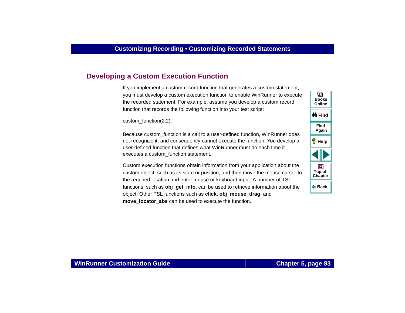# <span id="page-82-0"></span>**Developing a Custom Execution Function**

If you implement a custom record function that generates a custom statement, you must develop a custom execution function to enable WinRunner to execute the recorded statement. For example, assume you develop a custom record function that records the following function into your test script:

custom\_function(2,2);

Because custom function is a call to a user-defined function, WinRunner does not recognize it, and consequently cannot execute the function. You develop a user-defined function that defines what WinRunner must do each time it executes a custom\_function statement.

Custom execution functions obtain information from your application about the custom object, such as its state or position, and then move the mouse cursor to the required location and enter mouse or keyboard input. A number of TSL functions, such as **obj\_get\_info**, can be used to retrieve information about the object. Other TSL functions such as **click, obj\_mouse\_drag**, and **move** locator abs can be used to execute the function.

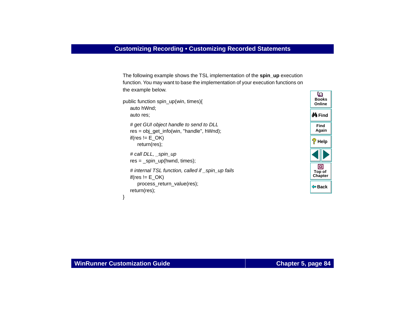The following example shows the TSL implementation of the **spin\_up** execution function. You may want to base the implementation of your execution functions on the example below.

```
public function spin_up(win, times){
   auto hWnd;
   auto res;
   # get GUI object handle to send to DLL
   res = obj get info(win, "handle", hWnd);
   if(res != E OK)
      return(res);
   # call DLL, spin_up
   res = spin up(hwnd, times);
   # internal TSL function, called if spin up fails
   if(res != E_OK)process_return_value(res);
   return(res);
```


}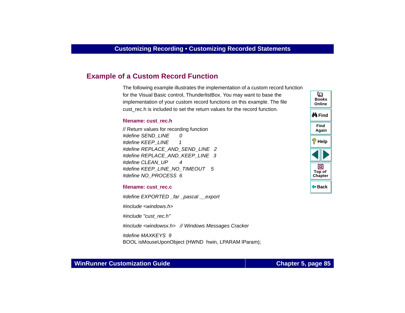# <span id="page-84-0"></span>**Example of a Custom Record Function**

The following example illustrates the implementation of a custom record function for the Visual Basic control, ThunderlistBox. You may want to base the implementation of your custom record functions on this example. The file cust rec.h is included to set the return values for the record function.

#### **filename: cust\_rec.h**

// Return values for recording function #define SEND\_LINE 0 #define KEEP\_LINE 1 #define REPLACE\_AND\_SEND\_LINE 2 #define REPLACE\_AND\_KEEP\_LINE 3 #define CLEAN\_UP 4 #define KEEP\_LINE\_NO\_TIMEOUT 5 #define NO\_PROCESS 6

**filename: cust\_rec.c**

#define EXPORTED far pascal export

#include <windows.h>

#include "cust\_rec.h"

#include <windowsx.h> // Windows Messages Cracker

#define MAXKEYS 9

BOOL isMouseUponObject (HWND hwin, LPARAM lParam);



### **WinRunner Customization Guide**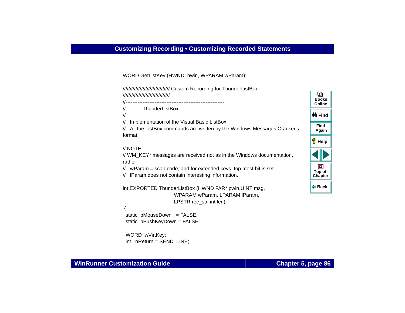WORD GetListKey (HWND hwin, WPARAM wParam);

///////////////////////////////// Custom Recording for ThunderListBox /////////////////////////////////

//----------------------------------------------------------

// ThunderListBox

//

// Implementation of the Visual Basic ListBox

// All the ListBox commands are written by the Windows Messages Cracker's format

```
// NOTE:
```
// WM\_KEY\* messages are received not as in the Windows documentation, rather:

 $//$  wParam = scan code; and for extended keys, top most bit is set.

// lParam does not contain interesting information.

```
int EXPORTED ThunderListBox (HWND FAR* pwin,UINT msg, 
                     WPARAM wParam, LPARAM lParam,
                     LPSTR rec_str, int len)
```
 { static bMouseDown  $=$  FALSE: static bPushKeyDown = FALSE;

```
 WORD wVirtKey; 
 int nReturn = SEND_LINE;
```
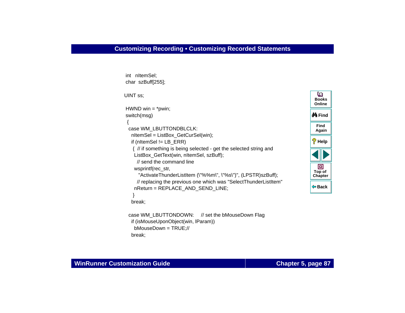```
BackM Find
                                                                               Help
                                                                               Chapter
                                                                                Top of
                                                                                BooksOnline int nItemSel;
 char szBuff[255]; 
 UINT ss; 
HWND win = *pwin;
 switch(msg)
 { 
  case WM_LBUTTONDBLCLK:
   nItemSel = ListBox_GetCurSel(win);
    if (nItemSel != LB_ERR)
    { // if something is being selected - get the selected string and
    ListBox_GetText(win, nItemSel, szBuff);
      // send the command linewsprintf(rec_str,
       "ActivateThunderListItem (\"%%m\", \"%s\")", (LPSTR)szBuff);
      // replacing the previous one which was "SelectThunderListItem"
     nReturn = REPLACE_AND_SEND_LINE; 
 } 
    break;
 case WM_LBUTTONDOWN: // set the bMouseDown Flag
    if (isMouseUponObject(win, lParam))
     bMouseDown = TRUE;//
    break;
```
**Find**

o

**Again**

回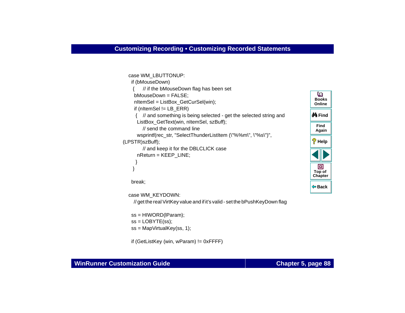```
 case WM_LBUTTONUP: 
    if (bMouseDown) 
        {\prime\prime} if the bMouseDown flag has been set
                                                                                      o
      bMouseDown = FALSE; 
                                                                                     BooksnItemSel = ListBox GetCurSel(win);
                                                                                     Online if (nItemSel != LB_ERR)
                                                                                   M Find
      { // and something is being selected - get the selected string and
      ListBox_GetText(win, nItemSel, szBuff);
                                                                                     Find // send the command lineAgain
       wsprintf(rec_str, "SelectThunderListItem (\"%%m\", \"%s\")", 
                                                                                   Help
(LPSTR)szBuff);
         // and keep it for the DBLCLICK case
       nReturn = KEEP_LINE;
 } 
                                                                                      回
     }
                                                                                    Top of
                                                                                    Chapter
    break; 
                                                                                      Back
```
case WM\_KEYDOWN:

// get the real VirtKey value and if it's valid - set the bPushKeyDown flag

```
 ss = HIWORD(lParam);
ss = LOBYTE(ss);
 ss = MapVirtualKey(ss, 1);
```
if (GetListKey (win, wParam) != 0xFFFF)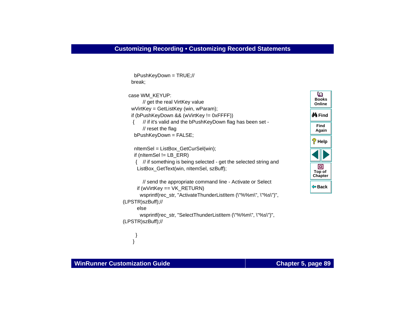bPushKeyDown = TRUE;//

```
 break;
   case WM_KEYUP: 
         // get the real VirtKey value
    wVirtKey = GetListKey (win, wParam); 
    if (bPushKeyDown && (wVirtKey != 0xFFFF))
        \frac{1}{10} if it's valid and the bPushKeyDown flag has been set -
         // reset the flag
      bPushKeyDown = FALSE;
     nItemSel = ListBox GetCurSel(win);
      if (nItemSel != LB_ERR)
      { // if something is being selected - get the selected string and
      ListBox_GetText(win, nItemSel, szBuff);
         // send the appropriate command line - Activate or Select 
       if (wVirtKey == VK_RETURN) 
       wsprintf(rec_str, "ActivateThunderListItem (\"%%m\", \"%s\")",
(LPSTR)szBuff);//
       else wsprintf(rec_str, "SelectThunderListItem (\"%%m\", \"%s\")",
(LPSTR)szBuff);//
```


 } }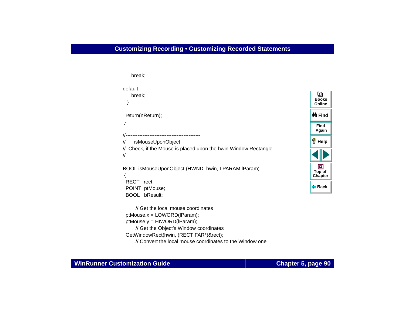# **Customizing Recording • Customizing Recorded Statements**

```
 break; 
default: break;
 } 
  return(nReturn);
 } 
//--------------------------------------------// isMouseUponObject
// Check, if the Mouse is placed upon the hwin Window Rectangle
//BOOL isMouseUponObject (HWND hwin, LPARAM lParam)
 {
  RECT rect;
  POINT ptMouse;
  BOOL bResult;
      // Get the local mouse coordinates ptMouse.x = LOWORD(lParam);
  ptMouse.y = HIWORD(lParam);
      // Get the Object's Window coordinates
  GetWindowRect(hwin, (RECT FAR*)&rect);
      // Convert the local mouse coordinates to the Window one
```
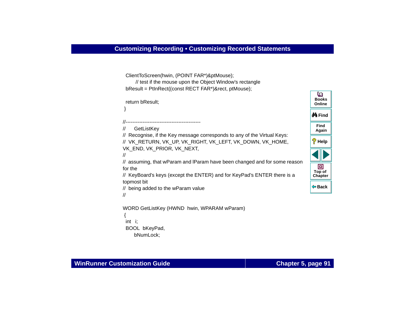```
 ClientToScreen(hwin, (POINT FAR*)&ptMouse); 
      // test if the mouse upon the Object Window's rectangle
  bResult = PtInRect((const RECT FAR*)&rect, ptMouse);
  return bResult; 
 }
//--------------------------------------------// GetListKey
// Recognise, if the Key message corresponds to any of the Virtual Keys:
// VK_RETURN, VK_UP, VK_RIGHT, VK_LEFT, VK_DOWN, VK_HOME, 
VK_END, VK_PRIOR, VK_NEXT.
//// assuming, that wParam and lParam have been changed and for some reason 
for the// KeyBoard's keys (except the ENTER) and for KeyPad's ENTER there is a 
topmost bit
// being added to the wParam value
//WORD GetListKey (HWND hwin, WPARAM wParam)
 {
  int i; 
  BOOL bKeyPad,
     bNumLock;
```
**Back**

**[Chapter](#page-68-0) Top of**

回

**Find**

**Again**

**Help**

**M** Find

**BooksOnline**

o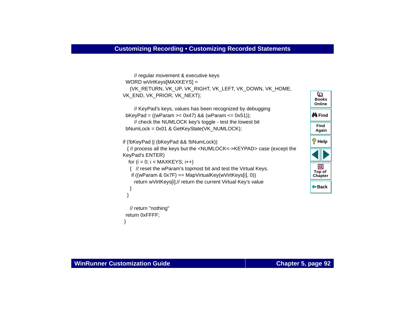```
 // regular movement & executive keys
WORD wVirtKeys[MAXKEYS] =
   {VK_RETURN, VK_UP, VK_RIGHT, VK_LEFT, VK_DOWN, VK_HOME, 
VK_END, VK_PRIOR, VK_NEXT};
```

```
 // KeyPad's keys, values has been recognized by debugging 
 bKeyPad = ((wParam >= 0x47) && (wParam <= 0x51));
    // check the NUMLOCK key's toggle - test the lowest bit
 bNumLock = 0x01 & GetKeyState(VK_NUMLOCK);
```

```
if (!bKeyPad || (bKeyPad && !bNumLock))
```
 { // process all the keys but the <NUMLOCK<->KEYPAD> case (except the KeyPad's ENTER)

```
for (i = 0; i < \text{MAXKEYS}; i++)
```
{ // reset the wParam's topmost bit and test the Virtual Keys.

```
if ((wParam & 0x7F) == MapVirtualKey(wVirtKeys[i], 0))
```
return wVirtKeys[i];// return the current Virtual Key's value



```
 // return "nothing"
 return 0xFFFF;
 }
```
 } }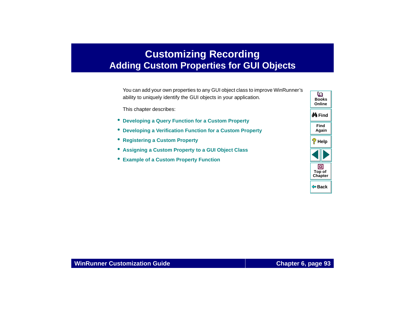# <span id="page-92-0"></span>**Customizing Recording Adding Custom Properties for GUI Objects**

<span id="page-92-1"></span>You can add your own properties to any GUI object class to improve WinRunner's ability to uniquely identify the GUI objects in your application.

This chapter describes:

- **[Developing a Query Function for a Custom Property](#page-95-0)**
- **[Developing a Verification Function for a Custom Property](#page-97-0)**
- **[Registering a Custom Property](#page-100-0)**
- **[Assigning a Custom Property to a GUI Object Class](#page-102-0)**
- **[Example of a Custom Property Function](#page-106-0)**

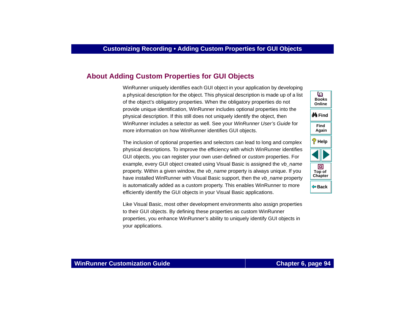# **About [Adding Custom Properties for GUI Objects](#page-92-1)**

WinRunner uniquely identifies each GUI object in your application by developing a physical description for the object. This physical description is made up of a list of the object's obligatory properties. When the obligatory properties do not provide unique identification, WinRunner includes optional properties into the physical description. If this still does not uniquely identify the object, then WinRunner includes a selector as well. See your WinRunner User's Guide for more information on how WinRunner identifies GUI objects.

The inclusion of optional properties and selectors can lead to long and complex physical descriptions. To improve the efficiency with which WinRunner identifies GUI objects, you can register your own user-defined or custom properties. For example, every GUI object created using Visual Basic is assigned the vb name property. Within a given window, the *vb* name property is always unique. If you have installed WinRunner with Visual Basic support, then the vb\_name property is automatically added as a custom property. This enables WinRunner to more efficiently identify the GUI objects in your Visual Basic applications.

Like Visual Basic, most other development environments also assign properties to their GUI objects. By defining these properties as custom WinRunner properties, you enhance WinRunner's ability to uniquely identify GUI objects in your applications.

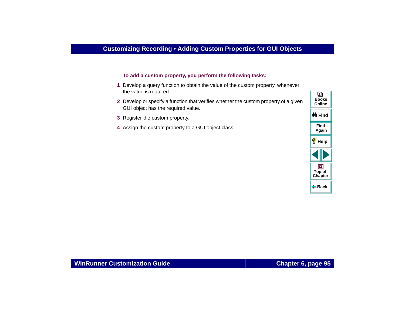#### **To add a custom property, you perform the following tasks:**

- **1** Develop a query function to obtain the value of the custom property, whenever the value is required.
- **2** Develop or specify a function that verifies whether the custom property of a given GUI object has the required value.
- **3** Register the custom property.
- **4** Assign the custom property to a GUI object class.

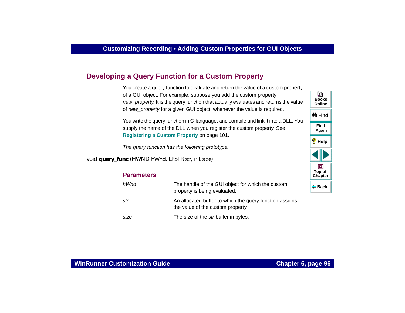# <span id="page-95-0"></span>**Developing a Query Function for a Custom Property**

You create a query function to evaluate and return the value of a custom property of a GUI object. For example, suppose you add the custom property new property. It is the query function that actually evaluates and returns the value of new\_property for a given GUI object, whenever the value is required.

You write the query function in C-language, and compile and link it into a DLL. You supply the name of the DLL when you register the custom property. See **[Registering a Custom Property](#page-100-0)** on page 101.

The query function has the following prototype:

void **query\_func** (HWND *hWnd*, LPSTR *str*, int *size*)

| <b>Parameters</b> |                                                                                              | C |
|-------------------|----------------------------------------------------------------------------------------------|---|
| hWnd              | The handle of the GUI object for which the custom<br>property is being evaluated.            | ⇚ |
| str               | An allocated buffer to which the query function assigns<br>the value of the custom property. |   |
| size              | The size of the <i>str</i> buffer in bytes.                                                  |   |

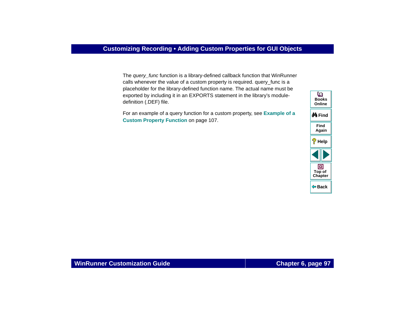The query\_func function is a library-defined callback function that WinRunner calls whenever the value of a custom property is required. query func is a placeholder for the library-defined function name. The actual name must be exported by including it in an EXPORTS statement in the library's moduledefinition (.DEF) file.

For an example of a query function for a custom property, see **[Example of a](#page-106-0)  [Custom Property Function](#page-106-0)** on page 107.

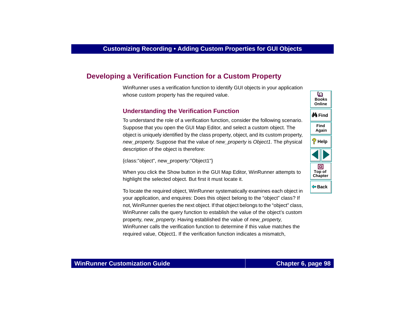# <span id="page-97-0"></span>**Developing a Verification Function for a Custom Property**

WinRunner uses a verification function to identify GUI objects in your application whose custom property has the required value.

## **Understanding the Verification Function**

To understand the role of a verification function, consider the following scenario. Suppose that you open the GUI Map Editor, and select a custom object. The object is uniquely identified by the class property, object, and its custom property, new property. Suppose that the value of new property is Object1. The physical description of the object is therefore:

{class:"object", new\_property:"Object1"}

When you click the Show button in the GUI Map Editor, WinRunner attempts to highlight the selected object. But first it must locate it.

To locate the required object, WinRunner systematically examines each object in your application, and enquires: Does this object belong to the "object" class? If not, WinRunner queries the next object. If that object belongs to the "object" class, WinRunner calls the query function to establish the value of the object's custom property, new property. Having established the value of new property, WinRunner calls the verification function to determine if this value matches the required value, Object1. If the verification function indicates a mismatch,



# **WinRunner Customization Guide**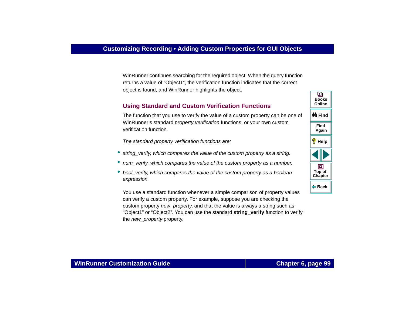WinRunner continues searching for the required object. When the query function returns a value of "Object1", the verification function indicates that the correct object is found, and WinRunner highlights the object.

# **Using Standard and Custom Verification Functions**

The function that you use to verify the value of a custom property can be one of WinRunner's standard *property verification* functions, or your own custom verification function.

The standard property verification functions are:

- •string verify, which compares the value of the custom property as a string.
- num\_verify, which compares the value of the custom property as a number.
- bool\_verify, which compares the value of the custom property as a boolean expression.

You use a standard function whenever a simple comparison of property values can verify a custom property. For example, suppose you are checking the custom property new property, and that the value is always a string such as "Object1" or "Object2". You can use the standard **string\_verify** function to verify the *new\_property* property.

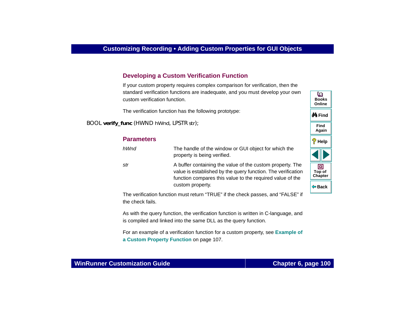# **Developing a Custom Verification Function**

If your custom property requires complex comparison for verification, then the standard verification functions are inadequate, and you must develop your own custom verification function.

The verification function has the following prototype:

BOOL **verify\_func** (HWND *hWnd*, LPSTR *str*);

| <b>Parameters</b> |                                                                                                                                                                                        | $\sqrt[6]{\mathsf{H}}$ elp |
|-------------------|----------------------------------------------------------------------------------------------------------------------------------------------------------------------------------------|----------------------------|
| hWnd              | The handle of the window or GUI object for which the<br>property is being verified.                                                                                                    |                            |
| str               | A buffer containing the value of the custom property. The<br>value is established by the query function. The verification<br>function compares this value to the required value of the | 回<br>Top of<br>Chapter     |
|                   | custom property.                                                                                                                                                                       | ⊕ Back                     |

The verification function must return "TRUE" if the check passes, and "FALSE" if the check fails.

As with the query function, the verification function is written in C-language, and is compiled and linked into the same DLL as the query function.

For an example of a verification function for a custom property, see **[Example of](#page-106-0)  [a Custom Property Function](#page-106-0)** on page 107.

# **WinRunner Customization Guide**

**Find**

**Again**

**do Find** 

**BooksOnline**

o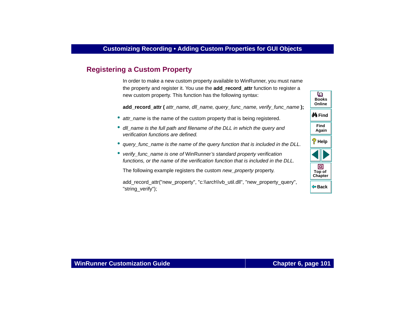# <span id="page-100-0"></span>**Registering a Custom Property**

In order to make a new custom property available to WinRunner, you must name the property and register it. You use the **add\_record\_attr** function to register a new custom property. This function has the following syntax:

**add\_record\_attr (** attr\_name, dll\_name, query\_func\_name, verify\_func\_name **)**;

- attr\_name is the name of the custom property that is being registered.
- dll\_name is the full path and filename of the DLL in which the query and verification functions are defined.
- query\_func\_name is the name of the query function that is included in the DLL.
- verify\_func\_name is one of WinRunner's standard property verification functions, or the name of the verification function that is included in the DLL.

The following example registers the custom *new\_property* property.

add\_record\_attr("new\_property", "c:\\arch\\vb\_util.dll", "new\_property\_query", "string\_verify");

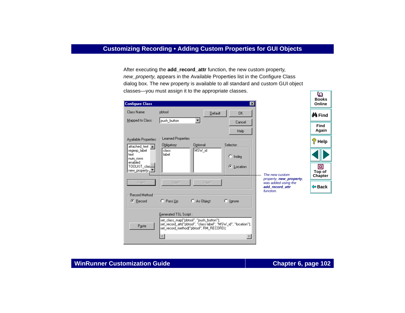After executing the **add\_record\_attr** function, the new custom property, new\_property, appears in the Available Properties list in the Configure Class dialog box. The new property is available to all standard and custom GUI object classes—you must assign it to the appropriate classes.

| <b>Configure Class</b>                      | ∣×∣                                                                                                                                                                                                     | $\sim$<br><b>Books</b><br>Online |
|---------------------------------------------|---------------------------------------------------------------------------------------------------------------------------------------------------------------------------------------------------------|----------------------------------|
| Class Name:<br>Mapped to Class:             | pbtool<br>Default<br>OK.<br>push_button                                                                                                                                                                 | <b>¢4 F</b> ind                  |
|                                             | Cancel<br>Help                                                                                                                                                                                          | Find<br>Again                    |
| Available Properties:<br>attached text A    | Learned Properties<br>Optional:<br>Selector:<br>Obligatory:                                                                                                                                             | ?<br>Help                        |
| regexp_label<br>text<br>num rows<br>enabled | MSW_id<br>class<br>label<br>$C$ Index                                                                                                                                                                   |                                  |
| TOOLKIT_clas<br>new_property-               | œ.<br>Location<br>The new custom                                                                                                                                                                        | ▣<br>Top of<br><b>Chapter</b>    |
| Insert                                      | property, new_property,<br>Insert<br>Insert<br>was added using the<br>add record attr<br>function.                                                                                                      | ⊕ Back                           |
| Record Method<br>$\bullet$ Record           | $\bigcirc$ Pass Up<br>C As Object<br>$\bigcirc$ <i>Ignore</i>                                                                                                                                           |                                  |
| Paste                                       | Generated TSL Script:<br>set_class_map("pbtool", "push_button");<br>set_record_attr("pbtool", "class label", "MSW_id", "location");<br>set_record_method("pbtool", RM_RECORD);<br>$\blacktriangleright$ |                                  |

### **WinRunner Customization Guide**

ſЮ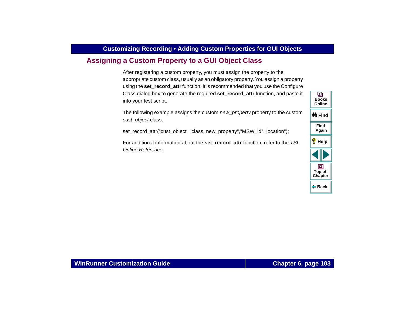# <span id="page-102-0"></span>**Assigning a Custom Property to a GUI Object Class**

After registering a custom property, you must assign the property to the appropriate custom class, usually as an obligatory property. You assign a property using the **set record attr** function. It is recommended that you use the Configure Class dialog box to generate the required **set\_record\_attr** function, and paste it into your test script.

The following example assigns the custom new property property to the custom cust\_object class.

set record attr("cust object","class, new property","MSW id","location");

For additional information about the **set\_record\_attr** function, refer to the TSL Online Reference.

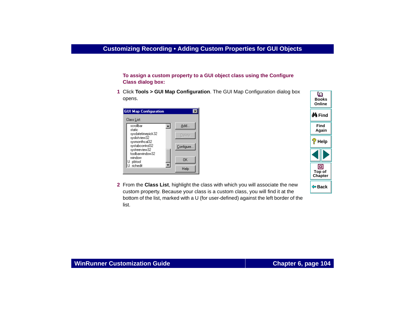**To assign a custom property to a GUI object class using the Configure Class dialog box:**

 **1** Click **Tools > GUI Map Configuration**. The GUI Map Configuration dialog box opens.



 **2** From the **Class List**, highlight the class with which you will associate the new custom property. Because your class is a custom class, you will find it at the bottom of the list, marked with a U (for user-defined) against the left border of the list.

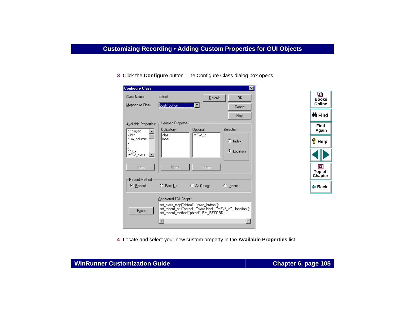**3** Click the **Configure** button. The Configure Class dialog box opens.

| <b>Configure Class</b>                                                                                     |                                                  |               | $\vert x \vert$  |
|------------------------------------------------------------------------------------------------------------|--------------------------------------------------|---------------|------------------|
| Class Name:                                                                                                | pbtool                                           | Default       | 0K               |
| Mapped to Class:                                                                                           | push_button                                      |               | Cancel           |
|                                                                                                            |                                                  |               | Help             |
| Available Properties:                                                                                      | Learned Properties                               |               |                  |
| displayed                                                                                                  | Obligatory:                                      | Optional:     | Selector:        |
| width<br>num columns                                                                                       | class<br>label                                   | MSW_id        |                  |
| x                                                                                                          |                                                  |               | $\circ$ Index    |
| v<br>abs x                                                                                                 |                                                  |               | C Location       |
| MSW_class                                                                                                  |                                                  |               |                  |
|                                                                                                            |                                                  |               |                  |
| Insert                                                                                                     | Insert                                           | Insert        |                  |
| <b>Record Method</b>                                                                                       |                                                  |               |                  |
| ⊕ Record                                                                                                   | $C$ Pass Up                                      | $C$ As Object | $\degree$ Ignore |
|                                                                                                            |                                                  |               |                  |
|                                                                                                            | Generated TSL Script:                            |               |                  |
| set_class_map("pbtool", "push_button");<br>set_record_attr("pbtool", "class label", "MSW_id", "location"); |                                                  |               |                  |
|                                                                                                            | Paste<br>set_record_method("pbtool", RM_RECORD); |               |                  |
|                                                                                                            |                                                  |               |                  |
|                                                                                                            |                                                  |               |                  |



 **4** Locate and select your new custom property in the **Available Properties** list.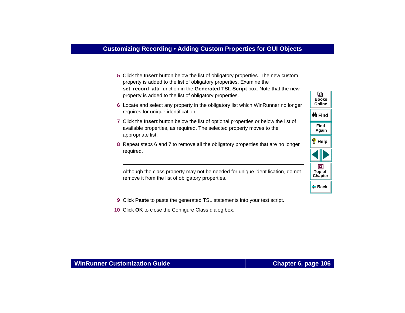- **5** Click the **Insert** button below the list of obligatory properties. The new custom property is added to the list of obligatory properties. Examine the **set record attr** function in the **Generated TSL Script** box. Note that the new property is added to the list of obligatory properties.
- <span id="page-105-0"></span> **6** Locate and select any property in the obligatory list which WinRunner no longer requires for unique identification.
- <span id="page-105-1"></span> **7** Click the **Insert** button below the list of optional properties or below the list of available properties, as required. The selected property moves to the appropriate list.
- **8** Repeat steps [6](#page-105-0) and [7](#page-105-1) to remove all the obligatory properties that are no longer required.

Although the class property may not be needed for unique identification, do not remove it from the list of obligatory properties.

o **BooksOnlineM**Find **FindAgain Help** 回 **Top of [Chapter](#page-92-0) Back**

- **9** Click **Paste** to paste the generated TSL statements into your test script.
- **10** Click **OK** to close the Configure Class dialog box.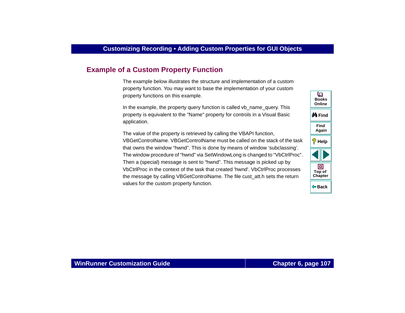# <span id="page-106-0"></span>**Example of a Custom Property Function**

The example below illustrates the structure and implementation of a custom property function. You may want to base the implementation of your custom property functions on this example.

In the example, the property query function is called vb\_name\_query. This property is equivalent to the "Name" property for controls in a Visual Basic application.

The value of the property is retrieved by calling the VBAPI function, VBGetControlName. VBGetControlName must be called on the stack of the task that owns the window "hwnd". This is done by means of window 'subclassing'. The window procedure of "hwnd" via SetWindowLong is changed to "VbCtrlProc". Then a (special) message is sent to "hwnd". This message is picked up by VbCtrlProc in the context of the task that created 'hwnd'. VbCtrlProc processes the message by calling VBGetControlName. The file cust\_att.h sets the return values for the custom property function.

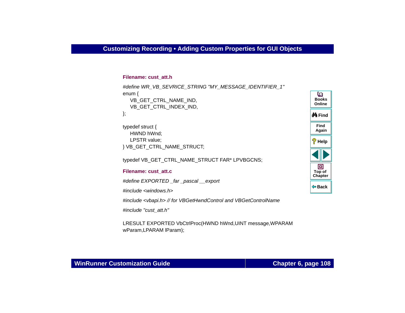#### **Filename: cust\_att.h**

```
#define WR_VB_SEVRICE_STRING "MY_MESSAGE_IDENTIFIER_1"
enum {
  VB_GET_CTRL_NAME_IND,
  VB_GET_CTRL_INDEX_IND,
};
typedef struct {
  HWND hWnd;
  LPSTR value;
```

```
} VB_GET_CTRL_NAME_STRUCT;
```

```
typedef VB_GET_CTRL_NAME_STRUCT FAR* LPVBGCNS;
```
#### **Filename: cust\_att.c**

#define EXPORTED far pascal export

#include <windows.h>

#include <vbapi.h> // for VBGetHwndControl and VBGetControlName

#include "cust\_att.h"

LRESULT EXPORTED VbCtrlProc(HWND hWnd,UINT message,WPARAM wParam,LPARAM lParam);

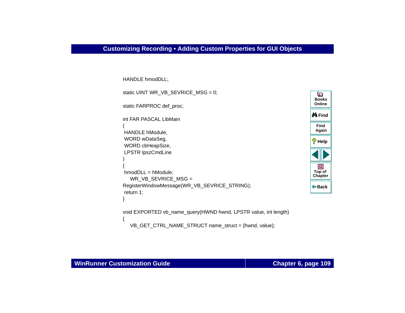```
HANDLE hmodDLL; 
static UINT WR VB SEVRICE MSG = 0;
static FARPROC def_proc;
int FAR PASCAL LibMain(
 HANDLE hModule,
 WORD wDataSeg,
 WORD cbHeapSize,
 LPSTR lpszCmdLine
)
{
 hmodDLL = hModule;
  WR_VB_SEVRICE_MSG = 
RegisterWindowMessage(WR_VB_SEVRICE_STRING);
 return 1;
}
void EXPORTED vb_name_query(HWND hwnd, LPSTR value, int length)
{
```


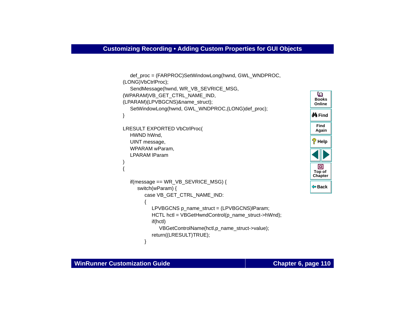```
FindM Find
                                                                      Help
                                                                      Chapter
                                                                       Top of
                                                                       BooksOnlineAgain
  def_proc = (FARPROC)SetWindowLong(hwnd, GWL_WNDPROC, 
(LONG)VbCtrlProc);
  SendMessage(hwnd, WR_VB_SEVRICE_MSG,
(WPARAM)VB_GET_CTRL_NAME_IND, 
(LPARAM)(LPVBGCNS)&name_struct);
  SetWindowLong(hwnd, GWL_WNDPROC,(LONG)def_proc);
}
LRESULT EXPORTED VbCtrlProc(
  HWND hWnd,
  UINT message,
  WPARAM wParam,
  LPARAM lParam{ 
  if(message == WR_VB_SEVRICE_MSG) {
     switch(wParam) {
        case VB_GET_CTRL_NAME_IND:
        {
          LPVBGCNS p_name_struct = (LPVBGCNS)lParam;
          HCTL hctl = VBGetHwndControl(p_name_struct->hWnd);
          if(hctl)
             VBGetControlName(hctl,p_name_struct->value);
          return((LRESULT)TRUE);
        }
```
)

**Back**

同

o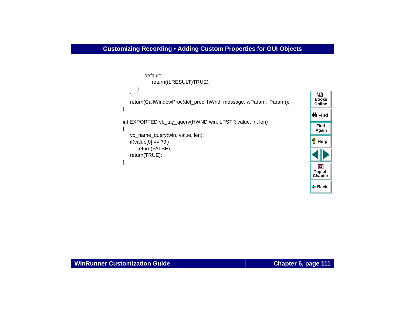```
default:return((LRESULT)TRUE);
      } 
   }
   return(CallWindowProc(def_proc, hWnd, message, wParam, lParam));
} 
int EXPORTED vb_tag_query(HWND win, LPSTR value, int len)
{
   vb_name_query(win, value, len);
   if(value[0] == '0')return(FALSE);
   return(TRUE);
}
```
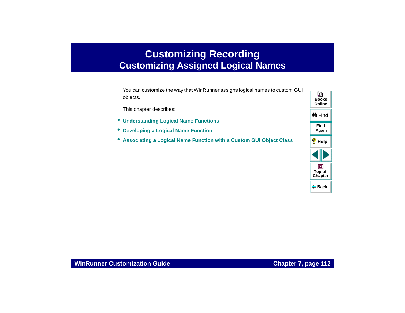# <span id="page-111-0"></span>**Customizing Recording Customizing Assigned Logical Names**

<span id="page-111-2"></span><span id="page-111-1"></span>You can customize the way that WinRunner assigns logical names to custom GUI objects.

This chapter describes:

- **[Understanding Logical Name Functions](#page-114-0)**
- **[Developing a Logical Name Function](#page-115-0)**
- **[Associating a Logical Name Function with a Custom GUI Object Class](#page-116-0)**

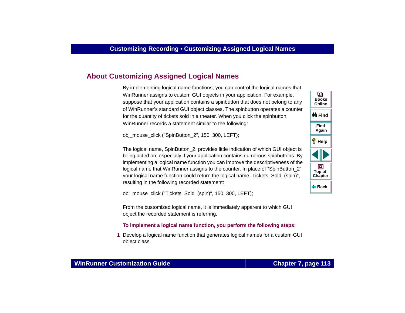# **About [Customizing Assigned Logical Names](#page-111-1)**

By implementing logical name functions, you can control the logical names that WinRunner assigns to custom GUI objects in your application. For example, suppose that your application contains a spinbutton that does not belong to any of WinRunner's standard GUI object classes. The spinbutton operates a counter for the quantity of tickets sold in a theater. When you click the spinbutton, WinRunner records a statement similar to the following:

obj\_mouse\_click ("SpinButton\_2", 150, 300, LEFT);

The logical name, SpinButton\_2, provides little indication of which GUI object is being acted on, especially if your application contains numerous spinbuttons. By implementing a logical name function you can improve the descriptiveness of the logical name that WinRunner assigns to the counter. In place of "SpinButton 2" your logical name function could return the logical name "Tickets\_Sold\_(spin)", resulting in the following recorded statement:

obj\_mouse\_click ("Tickets\_Sold\_(spin)", 150, 300, LEFT);

From the customized logical name, it is immediately apparent to which GUI object the recorded statement is referring.

#### **To implement a logical name function, you perform the following steps:**

 **1** Develop a logical name function that generates logical names for a custom GUI object class.



**Back**

**[Chapter](#page-111-0) Top of**

回

**Find**

**Again**

**Help**

**M** Find

**BooksOnline**

o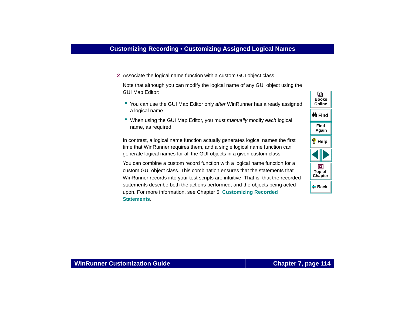**2** Associate the logical name function with a custom GUI object class.

Note that although you can modify the logical name of any GUI object using the GUI Map Editor:

- You can use the GUI Map Editor only after WinRunner has already assigned a logical name.
- When using the GUI Map Editor, you must manually modify each logical name, as required.

In contrast, a logical name function actually generates logical names the first time that WinRunner requires them, and a single logical name function can generate logical names for all the GUI objects in a given custom class.

You can combine a custom record function with a logical name function for a custom GUI object class. This combination ensures that the statements that WinRunner records into your test scripts are intuitive. That is, that the recorded statements describe both the actions performed, and the objects being acted upon. For more information, see Chapter 5, **[Customizing Recorded](#page-68-0)  [Statements](#page-68-0)**.

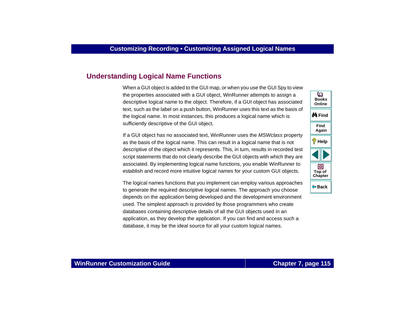# <span id="page-114-0"></span>**Understanding Logical Name Functions**

When a GUI object is added to the GUI map, or when you use the GUI Spy to view the properties associated with a GUI object, WinRunner attempts to assign a descriptive logical name to the object. Therefore, if a GUI object has associated text, such as the label on a push button, WinRunner uses this text as the basis of the logical name. In most instances, this produces a logical name which is sufficiently descriptive of the GUI object.

If a GUI object has no associated text, WinRunner uses the MSWclass property as the basis of the logical name. This can result in a logical name that is not descriptive of the object which it represents. This, in turn, results in recorded test script statements that do not clearly describe the GUI objects with which they are associated. By implementing logical name functions, you enable WinRunner to establish and record more intuitive logical names for your custom GUI objects.

The logical names functions that you implement can employ various approaches to generate the required descriptive logical names. The approach you choose depends on the application being developed and the development environment used. The simplest approach is provided by those programmers who create databases containing descriptive details of all the GUI objects used in an application, as they develop the application. If you can find and access such a database, it may be the ideal source for all your custom logical names.

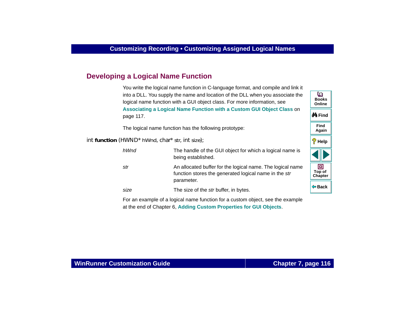# <span id="page-115-0"></span>**Developing a Logical Name Function**

<span id="page-115-1"></span>You write the logical name function in C-language format, and compile and link it into a DLL. You supply the name and location of the DLL when you associate the logical name function with a GUI object class. For more information, see **[Associating a Logical Name Function with a Custom GUI Object Class](#page-116-0)** on [page 117](#page-116-0).

The logical name function has the following prototype:

int **function** (HWND\* *hWnd*, char\* *str*, int *size*);

| hWnd | The handle of the GUI object for which a logical name is<br>being established.                                                    |
|------|-----------------------------------------------------------------------------------------------------------------------------------|
| str  | An allocated buffer for the logical name. The logical name<br>function stores the generated logical name in the str<br>parameter. |
| size | The size of the str buffer, in bytes.                                                                                             |

For an example of a logical name function for a custom object, see the example at the end of Chapter 6, **[Adding Custom Properties for GUI Objects](#page-92-1)**.

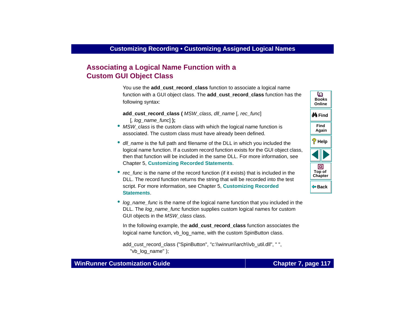# <span id="page-116-0"></span>**Associating a Logical Name Function with a Custom GUI Object Class**

<span id="page-116-2"></span>You use the **add cust record class** function to associate a logical name function with a GUI object class. The **add\_cust\_record\_class** function has the following syntax:

<span id="page-116-1"></span>add\_cust\_record\_class (MSW\_class, dll\_name [, rec\_func] [, log\_name\_func] **);**

- MSW\_class is the custom class with which the logical name function is associated. The custom class must have already been defined.
- dll\_name is the full path and filename of the DLL in which you included the logical name function. If a custom record function exists for the GUI object class, then that function will be included in the same DLL. For more information, see Chapter 5, **[Customizing Recorded Statements](#page-68-0)**.
- rec\_func is the name of the record function (if it exists) that is included in the DLL. The record function returns the string that will be recorded into the test script. For more information, see Chapter 5, **[Customizing Recorded](#page-68-0)  [Statements](#page-68-0)**.
- log\_name\_func is the name of the logical name function that you included in the DLL. The log\_name\_func function supplies custom logical names for custom GUI objects in the MSW class class.

In the following example, the **add\_cust\_record\_class** function associates the logical name function, vb log name, with the custom SpinButton class.

```
add_cust_record_class ("SpinButton", "c:\\winrun\\arch\\vb_util.dll", " ",
   "vb_log_name" );
```


## **WinRunner Customization Guide**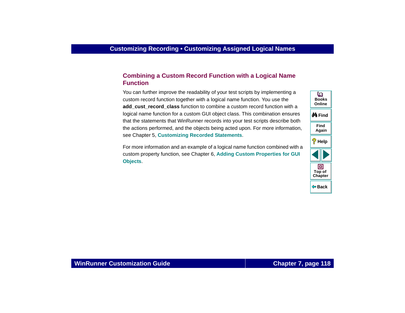## <span id="page-117-1"></span>**Combining a Custom Record Function with a Logical Name Function**

You can further improve the readability of your test scripts by implementing a custom record function together with a logical name function. You use the add cust record class function to combine a custom record function with a logical name function for a custom GUI object class. This combination ensures that the statements that WinRunner records into your test scripts describe both the actions performed, and the objects being acted upon. For more information, see Chapter 5, **[Customizing Recorded Statements](#page-68-0)**.

<span id="page-117-0"></span>For more information and an example of a logical name function combined with a custom property function, see Chapter 6, **[Adding Custom Properties for GUI](#page-92-1)  [Objects](#page-92-1)**.

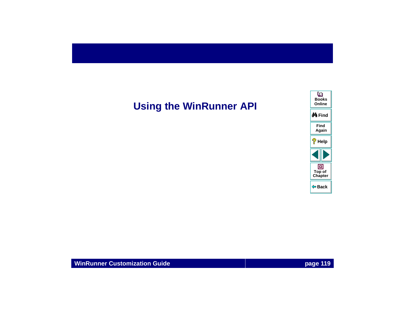# **Using the WinRunner API**

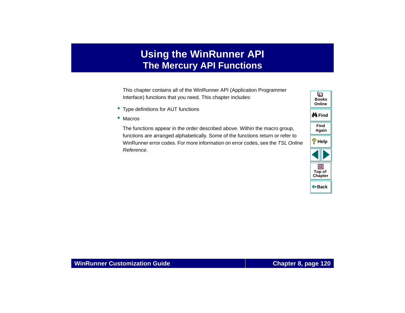# **Using the WinRunner API The Mercury API Functions**

<span id="page-119-1"></span><span id="page-119-0"></span>This chapter contains all of the WinRunner API (Application Programmer Interface) functions that you need. This chapter includes:

- Type definitions for AUT functions
- Macros

The functions appear in the order described above. Within the macro group, functions are arranged alphabetically. Some of the functions return or refer to WinRunner error codes. For more information on error codes, see the TSL Online Reference.

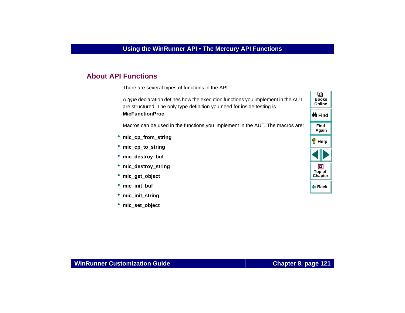# **About API Functions**

There are several types of functions in the API.

A type declaration defines how the execution functions you implement in the AUT are structured. The only type definition you need for inside testing is **MicFunctionProc**.

Macros can be used in the functions you implement in the AUT. The macros are:

- **mic\_cp\_from\_string**
- •**mic\_cp\_to\_string**
- **mic\_destroy\_buf**
- **mic\_destroy\_string**
- **mic\_get\_object**
- **mic\_init\_buf**
- **mic\_init\_string**
- •**mic\_set\_object**

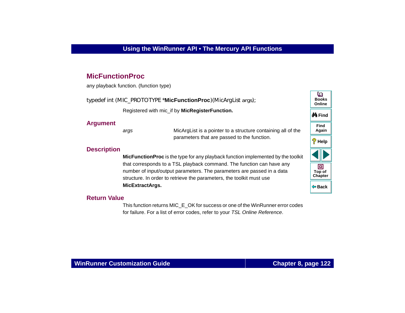## <span id="page-121-0"></span>**MicFunctionProc**

any playback function. (function type)

typedef int (MIC\_PROTOTYPE \***MicFunctionProc**)(MicArgList *args*);

Registered with mic\_if by **MicRegisterFunction.**

#### **Argument**

args MicArgList is a pointer to a structure containing all of the parameters that are passed to the function.

## **Description**

**MicFunctionProc** is the type for any playback function implemented by the toolkit that corresponds to a TSL playback command. The function can have any number of input/output parameters. The parameters are passed in a data structure. In order to retrieve the parameters, the toolkit must use **MicExtractArgs.**

## **Return Value**

This function returns MIC\_E\_OK for success or one of the WinRunner error codes for failure. For a list of error codes, refer to your TSL Online Reference.

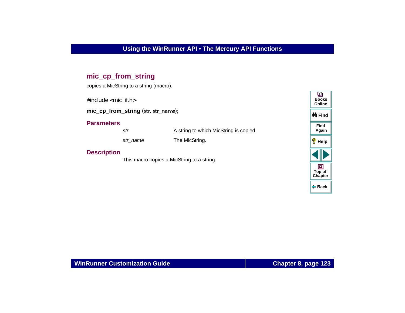# <span id="page-122-0"></span>**mic\_cp\_from\_string**

copies a MicString to a string (macro).

#include <mic\_if.h>

**mic\_cp\_from\_string** (*str*, *str\_name*);

#### **Parameters**

strA string to which MicString is copied.

str\_name The MicString.

## **Description**

This macro copies a MicString to a string.

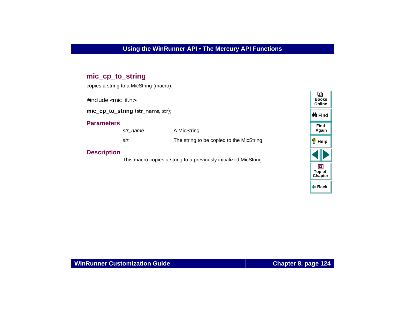# <span id="page-123-0"></span>**mic\_cp\_to\_string**

copies a string to a MicString (macro).

#include <mic\_if.h>

**mic\_cp\_to\_string** (*str\_name*, *str*);

#### **Parameters**

str\_name A MicString. strThe string to be copied to the MicString.

### **Description**

This macro copies a string to a previously initialized MicString.

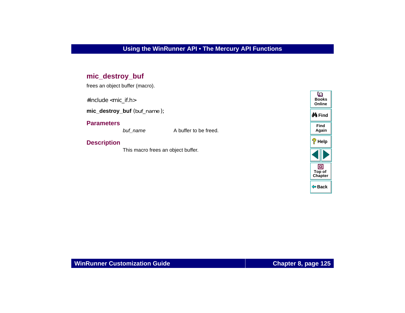# <span id="page-124-0"></span>**mic\_destroy\_buf**

frees an object buffer (macro).

#include <mic\_if.h>

**mic\_destroy\_buf** (*buf\_name* );

#### **Parameters**

buf\_name A buffer to be freed.

## **Description**

This macro frees an object buffer.

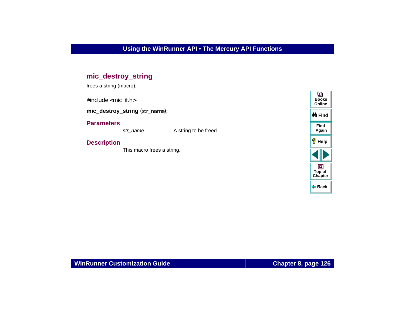# <span id="page-125-0"></span>**mic\_destroy\_string**

frees a string (macro).

#include <mic\_if.h>

**mic\_destroy\_string** (*str\_name*);

### **Parameters**

str\_name A string to be freed.

## **Description**

This macro frees a string.

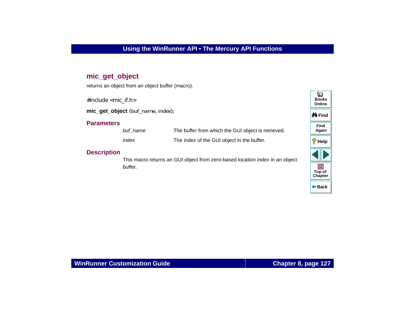# <span id="page-126-0"></span>**mic\_get\_object**

returns an object from an object buffer (macro).

#include <mic\_if.h>

**mic\_get\_object** (*buf\_name*, *index*);

### **Parameters**

| buf name | The buffer from which the GUI object is retrieved. |
|----------|----------------------------------------------------|
| index    | The index of the GUI object in the buffer.         |

## **Description**

This macro returns an GUI object from zero-based location index in an object buffer.

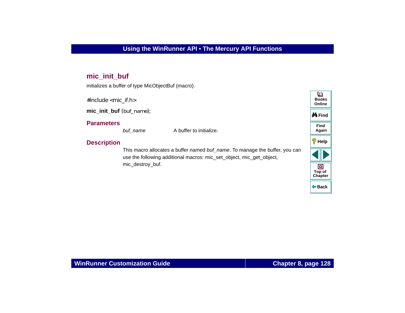# <span id="page-127-0"></span>**mic\_init\_buf**

initializes a buffer of type MicObjectBuf (macro).

#include <mic\_if.h>

**mic\_init\_buf** (*buf\_name*);

#### **Parameters**

buf\_name A buffer to initialize.

## **Description**

This macro allocates a buffer named buf name. To manage the buffer, you can use the following additional macros: mic\_set\_object, mic\_get\_object, mic\_destroy\_buf.

| տ<br><b>Books</b><br>Online |
|-----------------------------|
| <i>N</i> ∯iFind             |
| Find<br>Again               |
| Ø<br>Help                   |
|                             |
| 向<br>Top of<br>Chapter      |
| (≔ Back                     |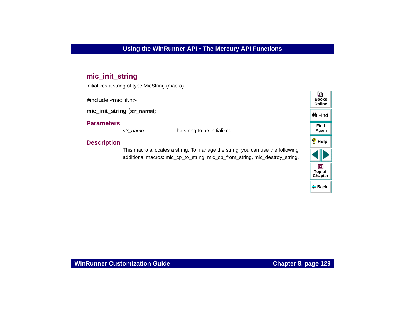# <span id="page-128-0"></span>**mic\_init\_string**

initializes a string of type MicString (macro).

#include <mic\_if.h>

**mic\_init\_string** (*str\_name*);

## **Parameters**

str\_name The string to be initialized.

## **Description**

This macro allocates a string. To manage the string, you can use the following additional macros: mic\_cp\_to\_string, mic\_cp\_from\_string, mic\_destroy\_string.

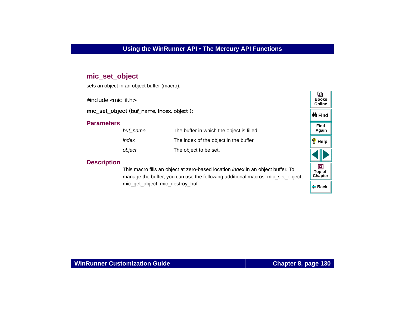## <span id="page-129-1"></span>**mic\_set\_object**

sets an object in an object buffer (macro).

#include <mic\_if.h>

**mic\_set\_object** (*buf\_name*, *index*, *object* );

#### **Parameters**

| buf name | The buffer in which the object is filled. |
|----------|-------------------------------------------|
| index    | The index of the object in the buffer.    |
| object   | The object to be set.                     |

#### **Description**

<span id="page-129-0"></span>This macro fills an object at zero-based location index in an object buffer. To manage the buffer, you can use the following additional macros: mic\_set\_object, mic\_get\_object, mic\_destroy\_buf.

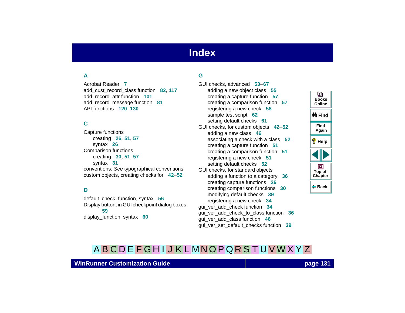# **Index**

# <span id="page-130-4"></span><span id="page-130-2"></span>**A**

Acrobat Reader **[7](#page-6-0)**add\_cust\_record\_class function **[82](#page-81-0)**, **[117](#page-116-1)** add\_record\_attr function **[101](#page-100-0)** add\_record\_message function **[81](#page-80-0)** API functions **[120](#page-119-1)**–**[130](#page-129-0)**

## <span id="page-130-1"></span>**C**

Capture functions creating **[26](#page-25-0)**, **[51](#page-50-0)**, **[57](#page-56-0)** syntax **[26](#page-25-1)** Comparison functions creating **[30](#page-29-0)**, **[51](#page-50-1)**, **[57](#page-56-0)** syntax **[31](#page-30-0)** [conventions.](#page-8-0) See typographical conventions custom objects, creating checks for **[42](#page-41-0)**–**[52](#page-51-0)**

#### <span id="page-130-3"></span>**D**

default\_check\_function, syntax **[56](#page-55-0)** Display button, in GUI checkpoint dialog boxes **[59](#page-58-0)**display\_function, syntax **[60](#page-59-0)**

#### <span id="page-130-0"></span>**G**

GUI checks, advanced **[53](#page-52-0)**–**[67](#page-66-0)** adding a new object class **[55](#page-54-0)** creating a capture function **[57](#page-56-0)** creating a comparison function **[57](#page-56-0)** registering a new check **[58](#page-57-0)** sample test script **[62](#page-61-0)** setting default checks **[61](#page-60-0)** GUI checks, for custom objects **[42](#page-41-0)**–**[52](#page-51-0)** adding a new class **[46](#page-45-0)** associating a check with a class **[52](#page-51-1)** creating a capture function **[51](#page-50-0)** creating a comparison function **[51](#page-50-1)** registering a new check **[51](#page-50-2)** setting default checks **[52](#page-51-2)** GUI checks, for standard objects adding a function to a category **[36](#page-35-0)** creating capture functions **[26](#page-25-0)** creating comparison functions **[30](#page-29-0)** modifying default checks **[39](#page-38-0)** registering a new check **[34](#page-33-0)** gui\_ver\_add\_check function **[34](#page-33-1)** gui\_ver\_add\_check\_to\_class function **[36](#page-35-1)** gui\_ver\_add\_class function **[46](#page-45-1)**

gui\_ver\_set\_default\_checks function **[39](#page-38-1)**



# [A](#page-130-2) [B](#page-130-1) [C](#page-130-1) [D](#page-130-3) [E](#page-130-0) [F](#page-130-0) [G](#page-130-0) [H](#page-131-1) [I](#page-131-1) [J](#page-131-1) [K](#page-131-1) [L](#page-131-1) [M](#page-131-3) [N](#page-131-4) [O](#page-131-4) [P](#page-131-2) [Q](#page-131-0) [R](#page-131-0) [S](#page-131-5) [T](#page-132-0) [U](#page-132-1) [V](#page-132-2) [W](#page-132-2) X Y Z

### **WinRunner Customization Guide**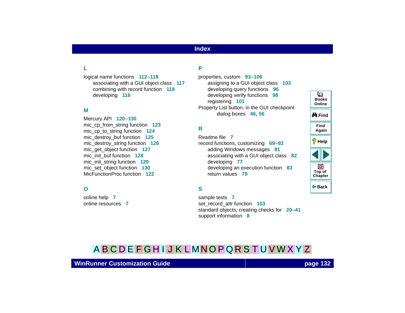## **Index**

# <span id="page-131-1"></span>**L**

logical name functions **[112](#page-111-2)**–**[118](#page-117-0)** associating with a GUI object class **[117](#page-116-2)** combining with record function **[118](#page-117-1)** developing **[116](#page-115-1)**

#### <span id="page-131-3"></span>**M**

Mercury API **[120](#page-119-1)**–**[130](#page-129-0)** mic\_cp\_from\_string function **[123](#page-122-0)** mic\_cp\_to\_string function **[124](#page-123-0)** mic\_destroy\_buf function **[125](#page-124-0)** mic\_destroy\_string function **[126](#page-125-0)** mic\_get\_object function **[127](#page-126-0)** mic\_init\_buf function **[128](#page-127-0)** mic\_init\_string function **[129](#page-128-0)** mic\_set\_object function **[130](#page-129-1)** MicFunctionProc function **[122](#page-121-0)**

#### <span id="page-131-4"></span>**O**

online help **[7](#page-6-1)** online resources **[7](#page-6-2)**

#### <span id="page-131-2"></span>**P**

properties, custom **[93](#page-92-2)**–**[106](#page-105-0)** assigning to a GUI object class **[103](#page-102-0)** developing query functions **[96](#page-95-0)** developing verify functions **[98](#page-97-0)** registering **[101](#page-100-1)** Property List button, in the GUI check[p](#page-55-1)oint dialog boxes **[46](#page-45-2)**, **56**

## <span id="page-131-0"></span>**R**

Readme file **[7](#page-6-3)** record functions, customizing **[69](#page-68-0)**–**[92](#page-91-0)** adding Windows messages **[81](#page-80-1)** associating with a GUI ob[j](#page-76-0)ect class **[82](#page-81-1)** developing **77** developing an execution function **[83](#page-82-0)** return values **79**

## <span id="page-131-5"></span>**S**

sample tests **[7](#page-6-4)** set record attr function **[103](#page-102-1)** standard objects, creatin[g](#page-7-0) checks for **[20](#page-19-0)**–**[41](#page-40-0)** support information **8**

# **BooksOnlineM**iFind **FindAgain Help** 回 **Top of [Chapter](#page-130-4) Back**

o

# [A](#page-130-2) [B](#page-130-1) [C](#page-130-1) [D](#page-130-3) [E](#page-130-0) [F](#page-130-0) [G](#page-130-0) [H](#page-131-1) [I](#page-131-1) [J](#page-131-1) [K](#page-131-1) [L](#page-131-1) [M](#page-131-3) [N](#page-131-4) [O](#page-131-4) [P](#page-131-2) [Q](#page-131-0) [R](#page-131-0) [S](#page-131-5) [T](#page-132-0) [U](#page-132-1) [V](#page-132-2) [W](#page-132-2) X Y Z

## **WinRunner Customization Guide**

## **page 132**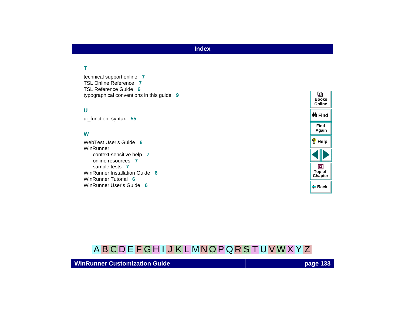## **Index**

## <span id="page-132-0"></span>**T**

technical support online **[7](#page-6-5)** TSL Online Reference **[7](#page-6-6)**TSL Reference Guide **[6](#page-5-0)**typographical conventions in this guide **[9](#page-8-0)**

#### <span id="page-132-1"></span>**U**

ui\_function, syntax **[55](#page-54-1)**

#### <span id="page-132-2"></span>**W**

WebTest User's Guide **[6](#page-5-1)** WinRunnercontext-sensitive help **[7](#page-6-1)** online resources **[7](#page-6-2)**sample tests **[7](#page-6-4)** WinRunner Installation Guide **[6](#page-5-2)**WinRunner Tutorial **[6](#page-5-3)**WinRunner User's Guide **[6](#page-5-4)**



# [A](#page-130-2) [B](#page-130-1) [C](#page-130-1) [D](#page-130-3) [E](#page-130-0) [F](#page-130-0) [G](#page-130-0) [H](#page-131-1) [I](#page-131-1) [J](#page-131-1) [K](#page-131-1) [L](#page-131-1) [M](#page-131-3) [N](#page-131-4) [O](#page-131-4) [P](#page-131-2) [Q](#page-131-0) [R](#page-131-0) [S](#page-131-5) [T](#page-132-0) [U](#page-132-1) [V](#page-132-2) [W](#page-132-2) X Y Z

### **WinRunner Customization Guide**